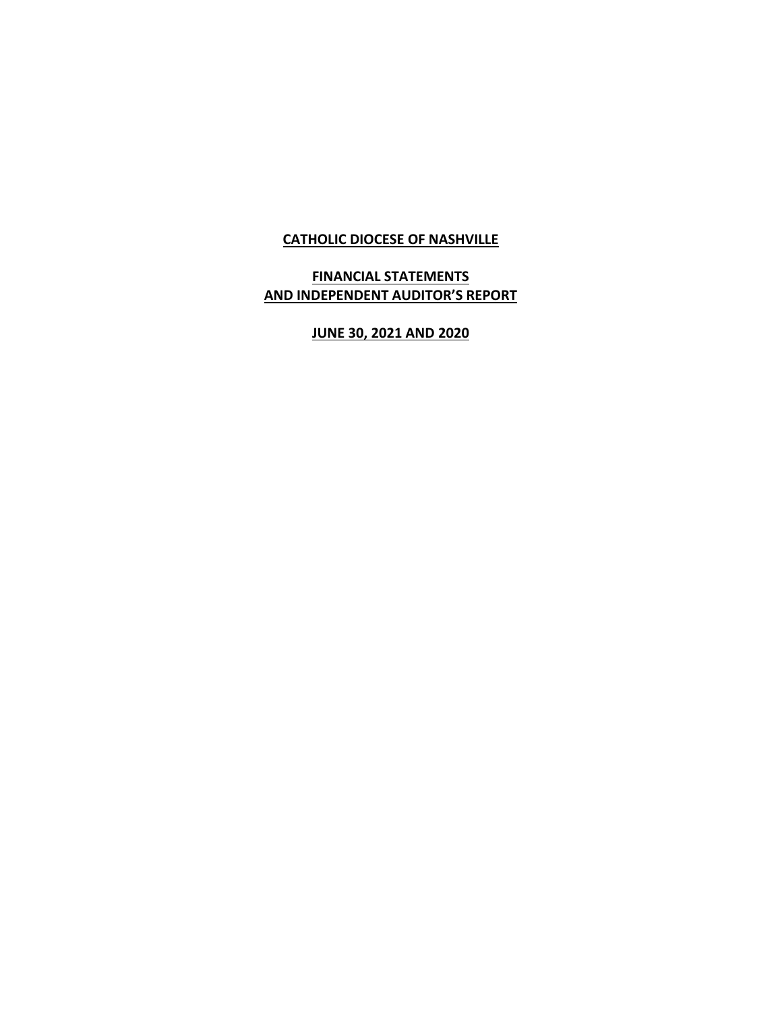### **CATHOLIC DIOCESE OF NASHVILLE**

# **FINANCIAL STATEMENTS AND INDEPENDENT AUDITOR'S REPORT**

# **JUNE 30, 2021 AND 2020**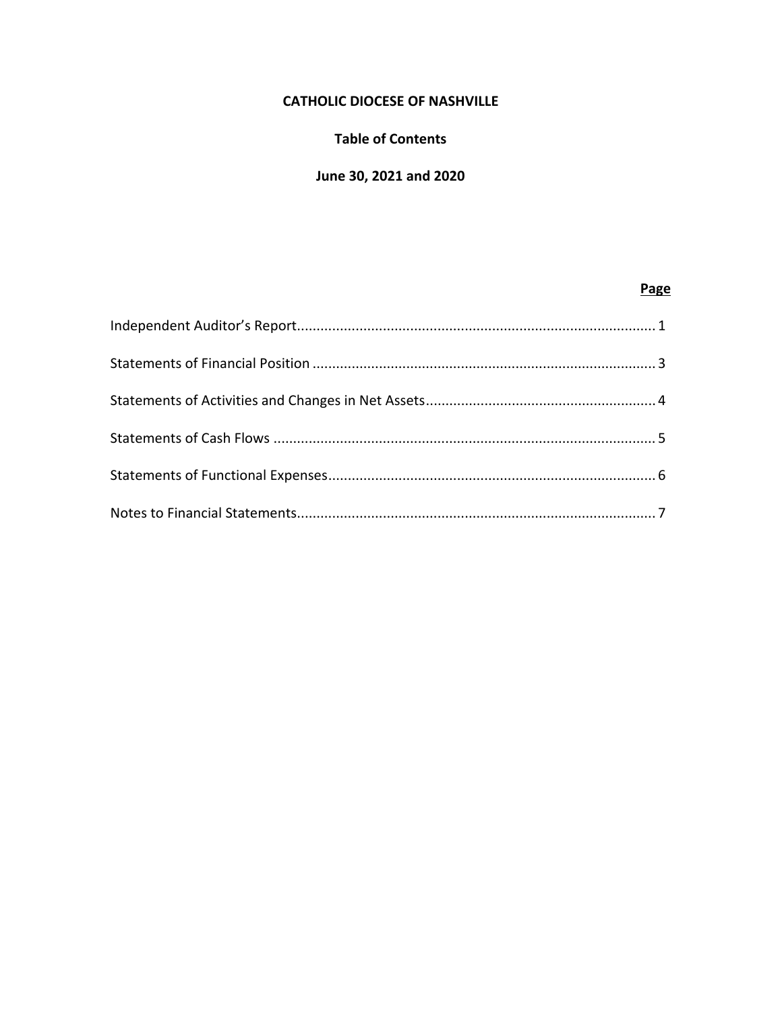# **CATHOLIC DIOCESE OF NASHVILLE**

### **Table of Contents**

# **June 30, 2021 and 2020**

### **Page**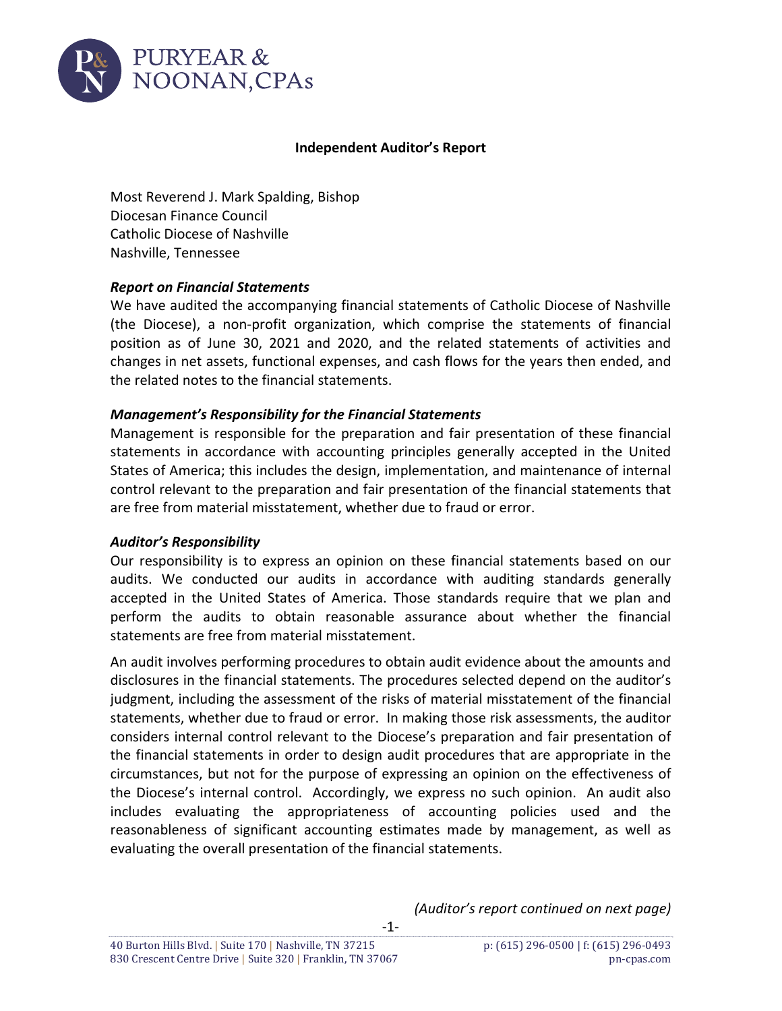

#### **Independent Auditor's Report**

Most Reverend J. Mark Spalding, Bishop Diocesan Finance Council Catholic Diocese of Nashville Nashville, Tennessee

#### *Report on Financial Statements*

We have audited the accompanying financial statements of Catholic Diocese of Nashville (the Diocese), a non‐profit organization, which comprise the statements of financial position as of June 30, 2021 and 2020, and the related statements of activities and changes in net assets, functional expenses, and cash flows for the years then ended, and the related notes to the financial statements.

### *Management's Responsibility for the Financial Statements*

Management is responsible for the preparation and fair presentation of these financial statements in accordance with accounting principles generally accepted in the United States of America; this includes the design, implementation, and maintenance of internal control relevant to the preparation and fair presentation of the financial statements that are free from material misstatement, whether due to fraud or error.

#### *Auditor's Responsibility*

Our responsibility is to express an opinion on these financial statements based on our audits. We conducted our audits in accordance with auditing standards generally accepted in the United States of America. Those standards require that we plan and perform the audits to obtain reasonable assurance about whether the financial statements are free from material misstatement.

An audit involves performing procedures to obtain audit evidence about the amounts and disclosures in the financial statements. The procedures selected depend on the auditor's judgment, including the assessment of the risks of material misstatement of the financial statements, whether due to fraud or error. In making those risk assessments, the auditor considers internal control relevant to the Diocese's preparation and fair presentation of the financial statements in order to design audit procedures that are appropriate in the circumstances, but not for the purpose of expressing an opinion on the effectiveness of the Diocese's internal control. Accordingly, we express no such opinion. An audit also includes evaluating the appropriateness of accounting policies used and the reasonableness of significant accounting estimates made by management, as well as evaluating the overall presentation of the financial statements.

‐1‐

*(Auditor's report continued on next page)*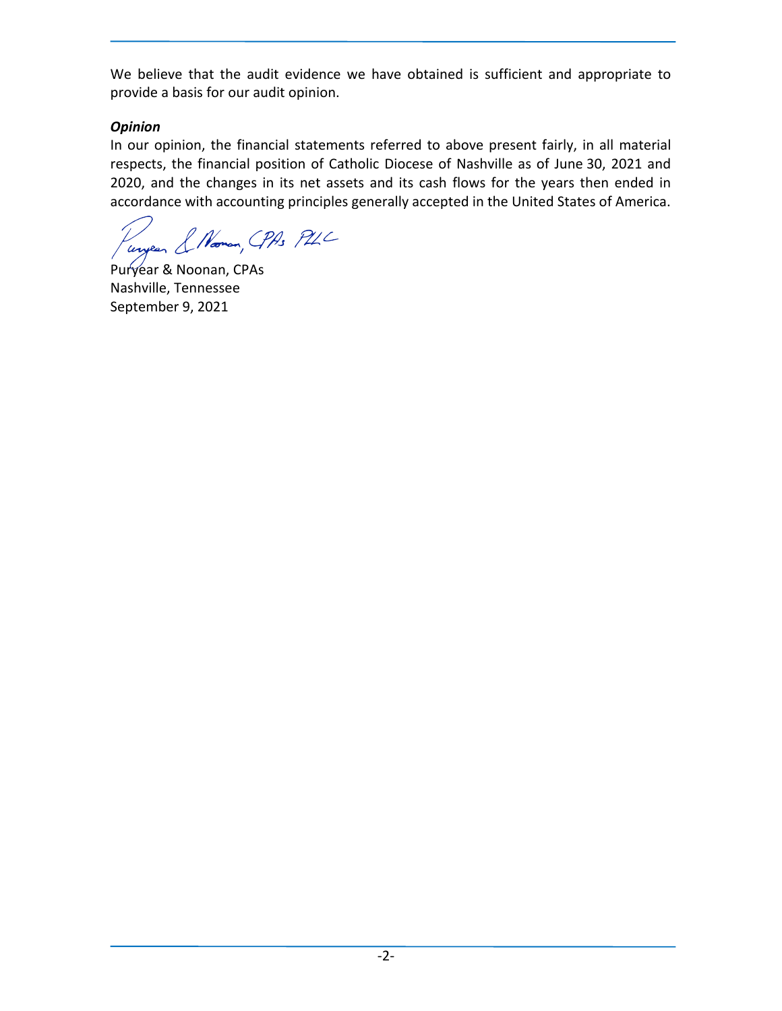We believe that the audit evidence we have obtained is sufficient and appropriate to provide a basis for our audit opinion.

# *Opinion*

In our opinion, the financial statements referred to above present fairly, in all material respects, the financial position of Catholic Diocese of Nashville as of June 30, 2021 and 2020, and the changes in its net assets and its cash flows for the years then ended in accordance with accounting principles generally accepted in the United States of America.

ungen & Norman, CPAS PUC

Puryear & Noonan, CPAs Nashville, Tennessee September 9, 2021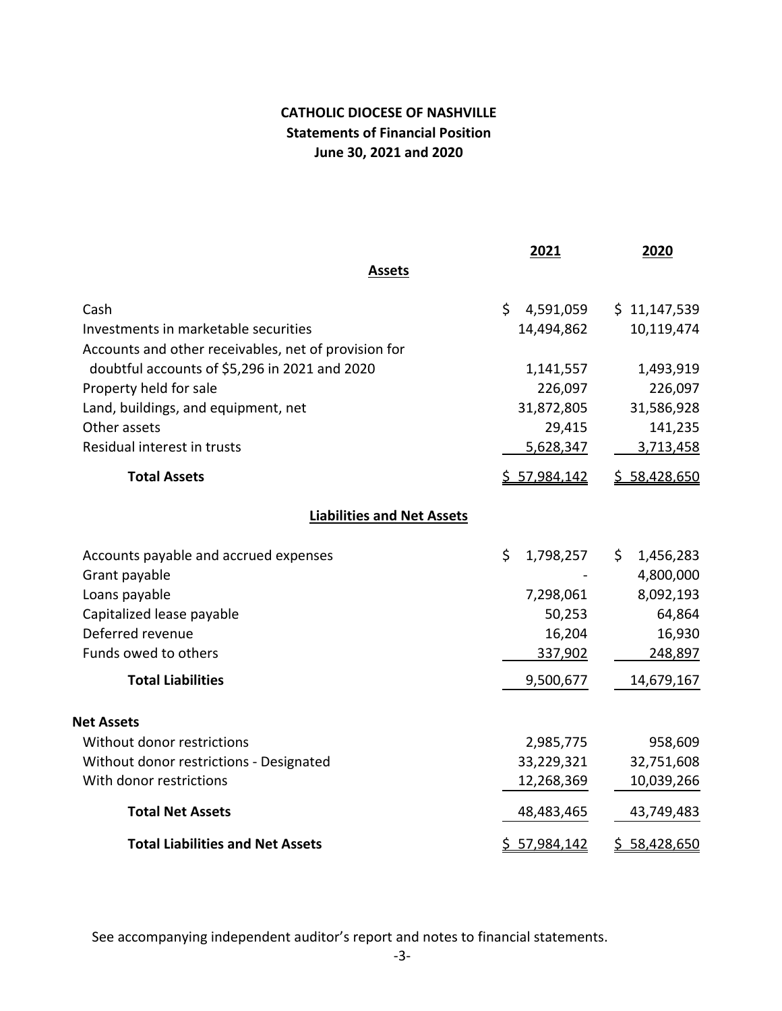# **CATHOLIC DIOCESE OF NASHVILLE Statements of Financial Position June 30, 2021 and 2020**

|                                                      | 2021                | 2020                    |
|------------------------------------------------------|---------------------|-------------------------|
| <b>Assets</b>                                        |                     |                         |
| Cash                                                 | \$<br>4,591,059     | \$11,147,539            |
| Investments in marketable securities                 | 14,494,862          | 10,119,474              |
| Accounts and other receivables, net of provision for |                     |                         |
| doubtful accounts of \$5,296 in 2021 and 2020        | 1,141,557           | 1,493,919               |
| Property held for sale                               | 226,097             | 226,097                 |
| Land, buildings, and equipment, net                  | 31,872,805          | 31,586,928              |
| Other assets                                         | 29,415              | 141,235                 |
| Residual interest in trusts                          | 5,628,347           | 3,713,458               |
| <b>Total Assets</b>                                  | <u>\$57,984,142</u> | \$58,428,650            |
| <b>Liabilities and Net Assets</b>                    |                     |                         |
| Accounts payable and accrued expenses                | \$<br>1,798,257     | \$.<br>1,456,283        |
| Grant payable                                        |                     | 4,800,000               |
| Loans payable                                        | 7,298,061           | 8,092,193               |
| Capitalized lease payable                            | 50,253              | 64,864                  |
| Deferred revenue                                     | 16,204              | 16,930                  |
| Funds owed to others                                 | 337,902             | 248,897                 |
| <b>Total Liabilities</b>                             | 9,500,677           | 14,679,167              |
| <b>Net Assets</b>                                    |                     |                         |
| Without donor restrictions                           | 2,985,775           | 958,609                 |
| Without donor restrictions - Designated              | 33,229,321          | 32,751,608              |
| With donor restrictions                              | 12,268,369          | 10,039,266              |
| <b>Total Net Assets</b>                              | 48,483,465          | 43,749,483              |
| <b>Total Liabilities and Net Assets</b>              | \$57,984,142        | 58,428,650<br><u>\$</u> |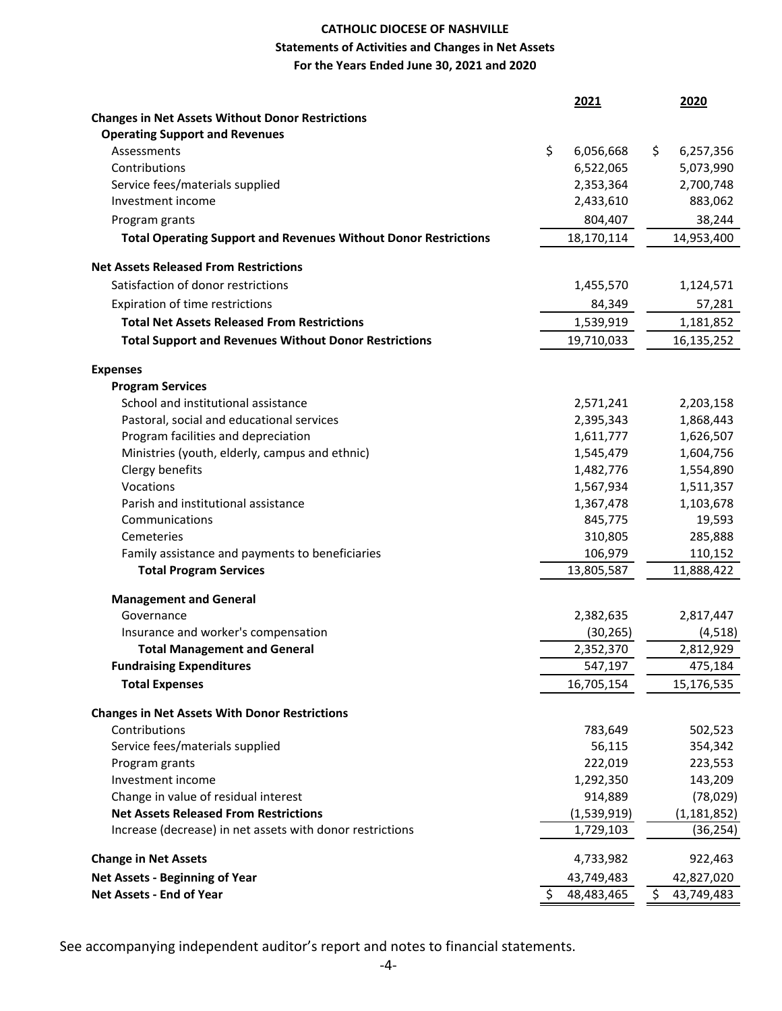## **CATHOLIC DIOCESE OF NASHVILLE Statements of Activities and Changes in Net Assets For the Years Ended June 30, 2021 and 2020**

|                                                                        | 2021             | 2020             |
|------------------------------------------------------------------------|------------------|------------------|
| <b>Changes in Net Assets Without Donor Restrictions</b>                |                  |                  |
| <b>Operating Support and Revenues</b>                                  |                  |                  |
| Assessments                                                            | \$<br>6,056,668  | 6,257,356<br>\$  |
| Contributions                                                          | 6,522,065        | 5,073,990        |
| Service fees/materials supplied                                        | 2,353,364        | 2,700,748        |
| Investment income                                                      | 2,433,610        | 883,062          |
| Program grants                                                         | 804,407          | 38,244           |
| <b>Total Operating Support and Revenues Without Donor Restrictions</b> | 18,170,114       | 14,953,400       |
| <b>Net Assets Released From Restrictions</b>                           |                  |                  |
| Satisfaction of donor restrictions                                     | 1,455,570        | 1,124,571        |
| Expiration of time restrictions                                        | 84,349           | 57,281           |
| <b>Total Net Assets Released From Restrictions</b>                     | 1,539,919        | 1,181,852        |
| <b>Total Support and Revenues Without Donor Restrictions</b>           | 19,710,033       | 16,135,252       |
| <b>Expenses</b>                                                        |                  |                  |
| <b>Program Services</b>                                                |                  |                  |
| School and institutional assistance                                    | 2,571,241        | 2,203,158        |
| Pastoral, social and educational services                              | 2,395,343        | 1,868,443        |
| Program facilities and depreciation                                    | 1,611,777        | 1,626,507        |
| Ministries (youth, elderly, campus and ethnic)                         | 1,545,479        | 1,604,756        |
| Clergy benefits                                                        | 1,482,776        | 1,554,890        |
| Vocations                                                              | 1,567,934        | 1,511,357        |
| Parish and institutional assistance                                    | 1,367,478        | 1,103,678        |
| Communications                                                         | 845,775          | 19,593           |
| Cemeteries                                                             | 310,805          | 285,888          |
| Family assistance and payments to beneficiaries                        | 106,979          | 110,152          |
| <b>Total Program Services</b>                                          | 13,805,587       | 11,888,422       |
| <b>Management and General</b>                                          |                  |                  |
| Governance                                                             | 2,382,635        | 2,817,447        |
| Insurance and worker's compensation                                    | (30, 265)        | (4, 518)         |
| <b>Total Management and General</b>                                    | 2,352,370        | 2,812,929        |
| <b>Fundraising Expenditures</b>                                        | 547,197          | 475,184          |
| <b>Total Expenses</b>                                                  | 16,705,154       | 15,176,535       |
| <b>Changes in Net Assets With Donor Restrictions</b>                   |                  |                  |
| Contributions                                                          | 783,649          | 502,523          |
| Service fees/materials supplied                                        | 56,115           | 354,342          |
| Program grants                                                         | 222,019          | 223,553          |
| Investment income                                                      | 1,292,350        | 143,209          |
| Change in value of residual interest                                   | 914,889          | (78, 029)        |
| <b>Net Assets Released From Restrictions</b>                           | (1,539,919)      | (1, 181, 852)    |
| Increase (decrease) in net assets with donor restrictions              | 1,729,103        | (36, 254)        |
| <b>Change in Net Assets</b>                                            | 4,733,982        | 922,463          |
| <b>Net Assets - Beginning of Year</b>                                  | 43,749,483       | 42,827,020       |
| Net Assets - End of Year                                               | 48,483,465<br>\$ | \$<br>43,749,483 |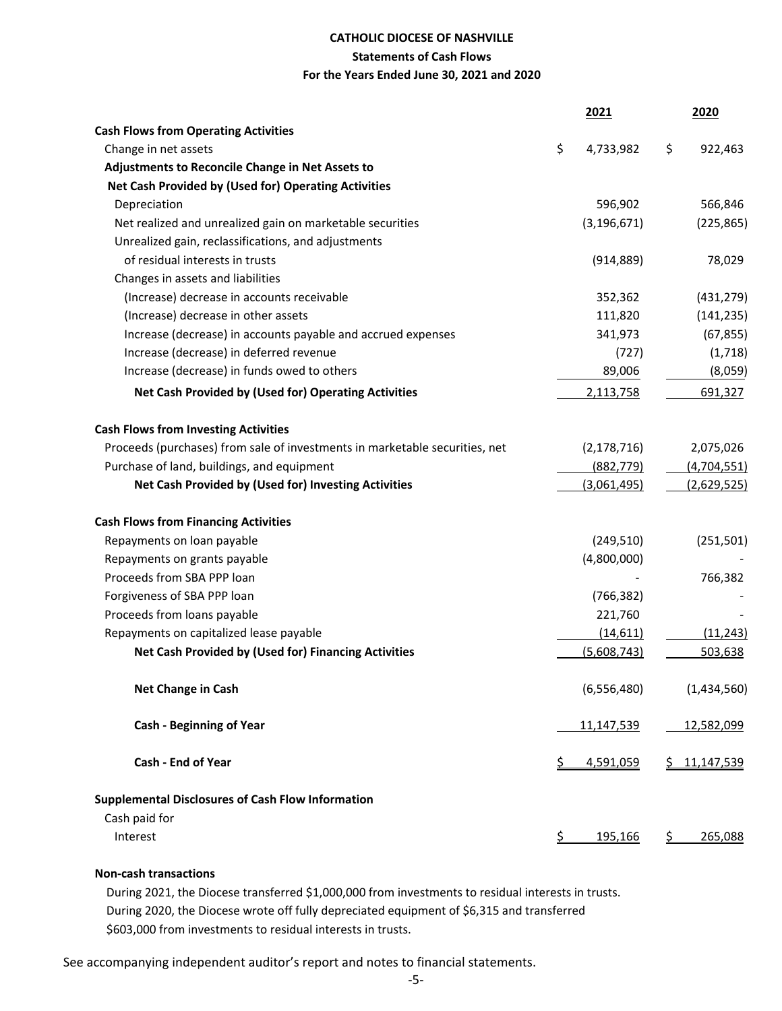#### **CATHOLIC DIOCESE OF NASHVILLE**

#### **Statements of Cash Flows**

#### **For the Years Ended June 30, 2021 and 2020**

|                                                                             |            | 2021          |           | 2020        |
|-----------------------------------------------------------------------------|------------|---------------|-----------|-------------|
| <b>Cash Flows from Operating Activities</b>                                 |            |               |           |             |
| Change in net assets                                                        | \$         | 4,733,982     | \$        | 922,463     |
| Adjustments to Reconcile Change in Net Assets to                            |            |               |           |             |
| Net Cash Provided by (Used for) Operating Activities                        |            |               |           |             |
| Depreciation                                                                |            | 596,902       |           | 566,846     |
| Net realized and unrealized gain on marketable securities                   |            | (3, 196, 671) |           | (225, 865)  |
| Unrealized gain, reclassifications, and adjustments                         |            |               |           |             |
| of residual interests in trusts                                             |            | (914, 889)    |           | 78,029      |
| Changes in assets and liabilities                                           |            |               |           |             |
| (Increase) decrease in accounts receivable                                  |            | 352,362       |           | (431, 279)  |
| (Increase) decrease in other assets                                         |            | 111,820       |           | (141, 235)  |
| Increase (decrease) in accounts payable and accrued expenses                |            | 341,973       |           | (67, 855)   |
| Increase (decrease) in deferred revenue                                     |            | (727)         |           | (1,718)     |
| Increase (decrease) in funds owed to others                                 |            | 89,006        |           | (8,059)     |
| Net Cash Provided by (Used for) Operating Activities                        |            | 2,113,758     |           | 691,327     |
| <b>Cash Flows from Investing Activities</b>                                 |            |               |           |             |
| Proceeds (purchases) from sale of investments in marketable securities, net |            | (2, 178, 716) |           | 2,075,026   |
| Purchase of land, buildings, and equipment                                  |            | (882, 779)    |           | (4,704,551) |
| Net Cash Provided by (Used for) Investing Activities                        |            | (3,061,495)   |           | (2,629,525) |
| <b>Cash Flows from Financing Activities</b>                                 |            |               |           |             |
| Repayments on loan payable                                                  |            | (249, 510)    |           | (251, 501)  |
| Repayments on grants payable                                                |            | (4,800,000)   |           |             |
| Proceeds from SBA PPP loan                                                  |            |               |           | 766,382     |
| Forgiveness of SBA PPP loan                                                 |            | (766, 382)    |           |             |
| Proceeds from loans payable                                                 |            | 221,760       |           |             |
| Repayments on capitalized lease payable                                     |            | (14,611)      |           | (11, 243)   |
| Net Cash Provided by (Used for) Financing Activities                        |            | (5,608,743)   |           | 503,638     |
| Net Change in Cash                                                          |            | (6,556,480)   |           | (1,434,560) |
| <b>Cash - Beginning of Year</b>                                             |            | 11,147,539    |           | 12,582,099  |
| <b>Cash - End of Year</b>                                                   |            | 4,591,059     |           | 11,147,539  |
| <b>Supplemental Disclosures of Cash Flow Information</b>                    |            |               |           |             |
| Cash paid for                                                               |            |               |           |             |
| Interest                                                                    | <u>\$_</u> | 195,166       | <u>\$</u> | 265,088     |

#### **Non‐cash transactions**

 During 2021, the Diocese transferred \$1,000,000 from investments to residual interests in trusts. During 2020, the Diocese wrote off fully depreciated equipment of \$6,315 and transferred \$603,000 from investments to residual interests in trusts.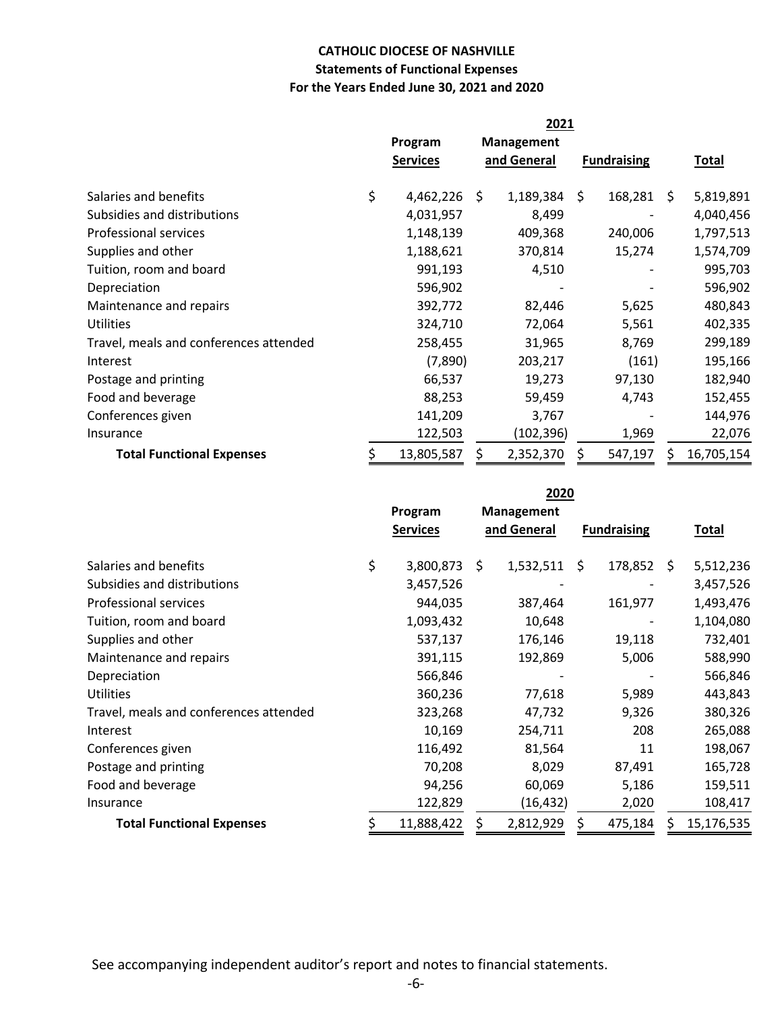### **CATHOLIC DIOCESE OF NASHVILLE Statements of Functional Expenses For the Years Ended June 30, 2021 and 2020**

|                                        | 2021 |                 |    |                   |    |                    |    |              |
|----------------------------------------|------|-----------------|----|-------------------|----|--------------------|----|--------------|
|                                        |      | Program         |    | <b>Management</b> |    |                    |    |              |
|                                        |      | <b>Services</b> |    | and General       |    | <b>Fundraising</b> |    | <b>Total</b> |
|                                        |      |                 |    |                   |    |                    |    |              |
| Salaries and benefits                  | \$   | 4,462,226       | Ŝ. | 1,189,384         | \$ | 168,281            | S. | 5,819,891    |
| Subsidies and distributions            |      | 4,031,957       |    | 8,499             |    |                    |    | 4,040,456    |
| Professional services                  |      | 1,148,139       |    | 409,368           |    | 240,006            |    | 1,797,513    |
| Supplies and other                     |      | 1,188,621       |    | 370,814           |    | 15,274             |    | 1,574,709    |
| Tuition, room and board                |      | 991,193         |    | 4,510             |    |                    |    | 995,703      |
| Depreciation                           |      | 596,902         |    |                   |    |                    |    | 596,902      |
| Maintenance and repairs                |      | 392,772         |    | 82,446            |    | 5,625              |    | 480,843      |
| Utilities                              |      | 324,710         |    | 72,064            |    | 5,561              |    | 402,335      |
| Travel, meals and conferences attended |      | 258,455         |    | 31,965            |    | 8,769              |    | 299,189      |
| Interest                               |      | (7,890)         |    | 203,217           |    | (161)              |    | 195,166      |
| Postage and printing                   |      | 66,537          |    | 19,273            |    | 97,130             |    | 182,940      |
| Food and beverage                      |      | 88,253          |    | 59,459            |    | 4,743              |    | 152,455      |
| Conferences given                      |      | 141,209         |    | 3,767             |    |                    |    | 144,976      |
| Insurance                              |      | 122,503         |    | (102,396)         |    | 1,969              |    | 22,076       |
| <b>Total Functional Expenses</b>       |      | 13,805,587      | S  | 2,352,370         | S  | 547,197            | S  | 16,705,154   |

**Program Management Services and General Fundraising Total** Salaries and benefits 3,800,873 \$ 1,532,511 \$ 178,852 \$ 5,512,236 Subsidies and distributions 3,457,526 ‐ ‐ 3,457,526 Professional services 944,035 387,464 161,977 1,493,476 Tuition, room and board 1,093,432 ‐ 10,648 1,104,080 Supplies and other  $537,137$   $176,146$   $19,118$   $732,401$ Maintenance and repairs 391,115 192,869 5,006 588,990 Depreciation 566,846 ‐ ‐ 566,846 Utilities 360,236 77,618 5,989 443,843 Travel, meals and conferences attended 323,268 47,732 9,326 380,326 Interest 10,169 254,711 208 265,088 Conferences given 116,492 81,564 11 198,067 Postage and printing TO, 208 2009 8,029 87,491 165,728 Food and beverage 159,511 159,511 159,511 Insurance 122,829 (16,432) 2,020 108,417 **Total Functional Expenses** \$ 11,888,422 \$ 2,812,929 \$ 475,184 \$ 15,176,535 **2020**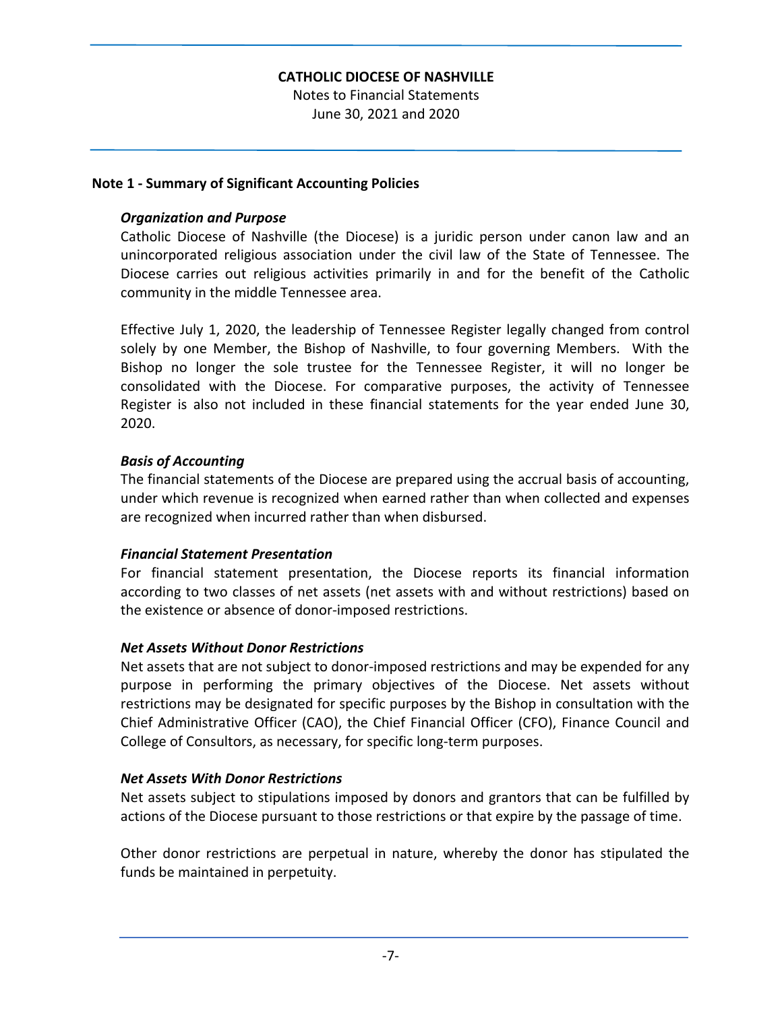## **CATHOLIC DIOCESE OF NASHVILLE**

Notes to Financial Statements June 30, 2021 and 2020

#### **Note 1 ‐ Summary of Significant Accounting Policies**

#### *Organization and Purpose*

Catholic Diocese of Nashville (the Diocese) is a juridic person under canon law and an unincorporated religious association under the civil law of the State of Tennessee. The Diocese carries out religious activities primarily in and for the benefit of the Catholic community in the middle Tennessee area.

Effective July 1, 2020, the leadership of Tennessee Register legally changed from control solely by one Member, the Bishop of Nashville, to four governing Members. With the Bishop no longer the sole trustee for the Tennessee Register, it will no longer be consolidated with the Diocese. For comparative purposes, the activity of Tennessee Register is also not included in these financial statements for the year ended June 30, 2020.

### *Basis of Accounting*

The financial statements of the Diocese are prepared using the accrual basis of accounting, under which revenue is recognized when earned rather than when collected and expenses are recognized when incurred rather than when disbursed.

#### *Financial Statement Presentation*

For financial statement presentation, the Diocese reports its financial information according to two classes of net assets (net assets with and without restrictions) based on the existence or absence of donor‐imposed restrictions.

#### *Net Assets Without Donor Restrictions*

Net assets that are not subject to donor‐imposed restrictions and may be expended for any purpose in performing the primary objectives of the Diocese. Net assets without restrictions may be designated for specific purposes by the Bishop in consultation with the Chief Administrative Officer (CAO), the Chief Financial Officer (CFO), Finance Council and College of Consultors, as necessary, for specific long‐term purposes.

#### *Net Assets With Donor Restrictions*

Net assets subject to stipulations imposed by donors and grantors that can be fulfilled by actions of the Diocese pursuant to those restrictions or that expire by the passage of time.

Other donor restrictions are perpetual in nature, whereby the donor has stipulated the funds be maintained in perpetuity.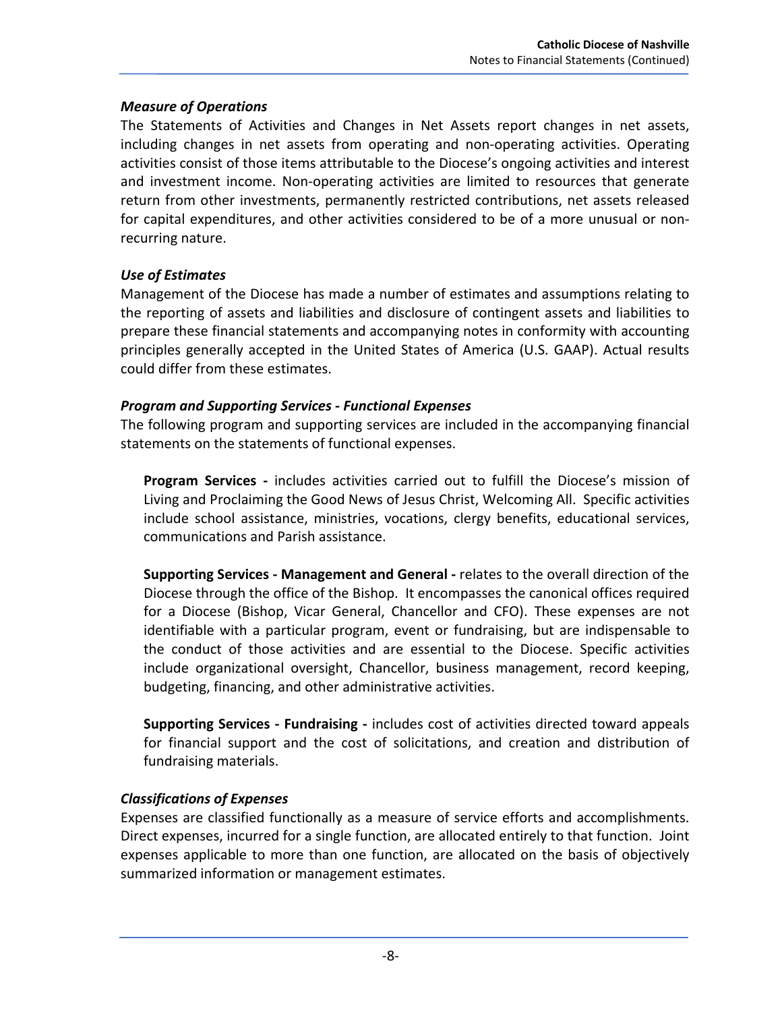### *Measure of Operations*

The Statements of Activities and Changes in Net Assets report changes in net assets, including changes in net assets from operating and non‐operating activities. Operating activities consist of those items attributable to the Diocese's ongoing activities and interest and investment income. Non-operating activities are limited to resources that generate return from other investments, permanently restricted contributions, net assets released for capital expenditures, and other activities considered to be of a more unusual or non‐ recurring nature.

## *Use of Estimates*

Management of the Diocese has made a number of estimates and assumptions relating to the reporting of assets and liabilities and disclosure of contingent assets and liabilities to prepare these financial statements and accompanying notes in conformity with accounting principles generally accepted in the United States of America (U.S. GAAP). Actual results could differ from these estimates.

## *Program and Supporting Services ‐ Functional Expenses*

The following program and supporting services are included in the accompanying financial statements on the statements of functional expenses.

**Program Services ‐** includes activities carried out to fulfill the Diocese's mission of Living and Proclaiming the Good News of Jesus Christ, Welcoming All. Specific activities include school assistance, ministries, vocations, clergy benefits, educational services, communications and Parish assistance.

**Supporting Services ‐ Management and General ‐** relates to the overall direction of the Diocese through the office of the Bishop. It encompasses the canonical offices required for a Diocese (Bishop, Vicar General, Chancellor and CFO). These expenses are not identifiable with a particular program, event or fundraising, but are indispensable to the conduct of those activities and are essential to the Diocese. Specific activities include organizational oversight, Chancellor, business management, record keeping, budgeting, financing, and other administrative activities.

**Supporting Services ‐ Fundraising ‐** includes cost of activities directed toward appeals for financial support and the cost of solicitations, and creation and distribution of fundraising materials.

# *Classifications of Expenses*

Expenses are classified functionally as a measure of service efforts and accomplishments. Direct expenses, incurred for a single function, are allocated entirely to that function. Joint expenses applicable to more than one function, are allocated on the basis of objectively summarized information or management estimates.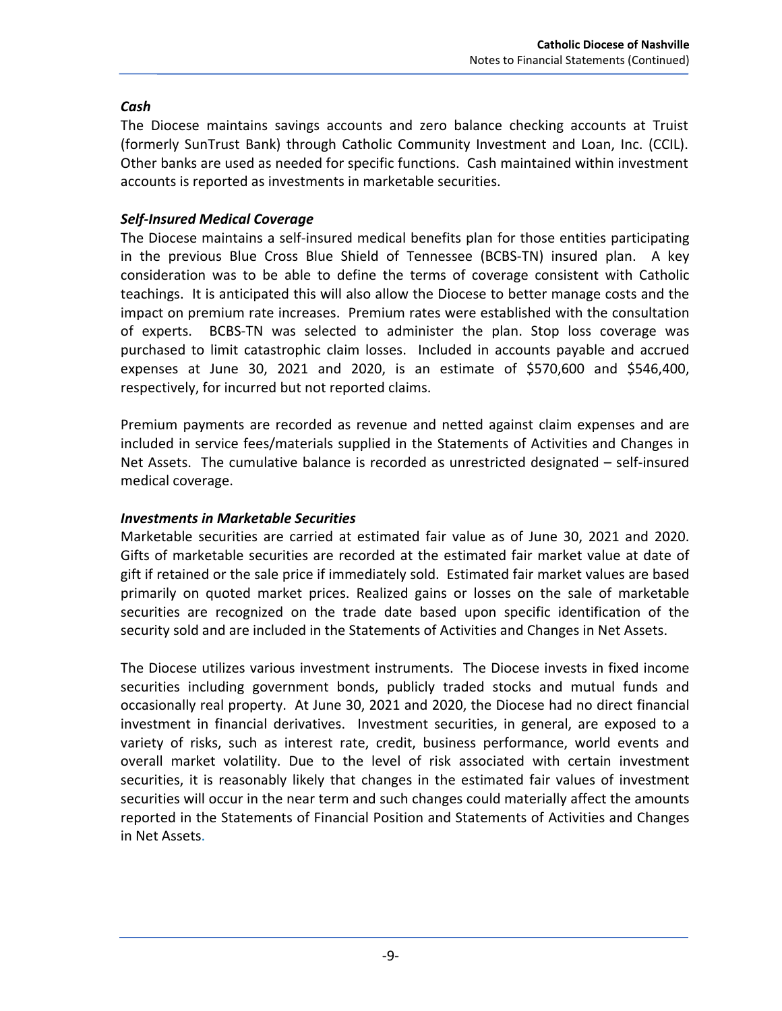# *Cash*

The Diocese maintains savings accounts and zero balance checking accounts at Truist (formerly SunTrust Bank) through Catholic Community Investment and Loan, Inc. (CCIL). Other banks are used as needed for specific functions. Cash maintained within investment accounts is reported as investments in marketable securities.

# *Self‐Insured Medical Coverage*

The Diocese maintains a self‐insured medical benefits plan for those entities participating in the previous Blue Cross Blue Shield of Tennessee (BCBS-TN) insured plan. A key consideration was to be able to define the terms of coverage consistent with Catholic teachings. It is anticipated this will also allow the Diocese to better manage costs and the impact on premium rate increases. Premium rates were established with the consultation of experts. BCBS‐TN was selected to administer the plan. Stop loss coverage was purchased to limit catastrophic claim losses. Included in accounts payable and accrued expenses at June 30, 2021 and 2020, is an estimate of \$570,600 and \$546,400, respectively, for incurred but not reported claims.

Premium payments are recorded as revenue and netted against claim expenses and are included in service fees/materials supplied in the Statements of Activities and Changes in Net Assets. The cumulative balance is recorded as unrestricted designated – self-insured medical coverage.

## *Investments in Marketable Securities*

Marketable securities are carried at estimated fair value as of June 30, 2021 and 2020. Gifts of marketable securities are recorded at the estimated fair market value at date of gift if retained or the sale price if immediately sold. Estimated fair market values are based primarily on quoted market prices. Realized gains or losses on the sale of marketable securities are recognized on the trade date based upon specific identification of the security sold and are included in the Statements of Activities and Changes in Net Assets.

The Diocese utilizes various investment instruments. The Diocese invests in fixed income securities including government bonds, publicly traded stocks and mutual funds and occasionally real property. At June 30, 2021 and 2020, the Diocese had no direct financial investment in financial derivatives. Investment securities, in general, are exposed to a variety of risks, such as interest rate, credit, business performance, world events and overall market volatility. Due to the level of risk associated with certain investment securities, it is reasonably likely that changes in the estimated fair values of investment securities will occur in the near term and such changes could materially affect the amounts reported in the Statements of Financial Position and Statements of Activities and Changes in Net Assets.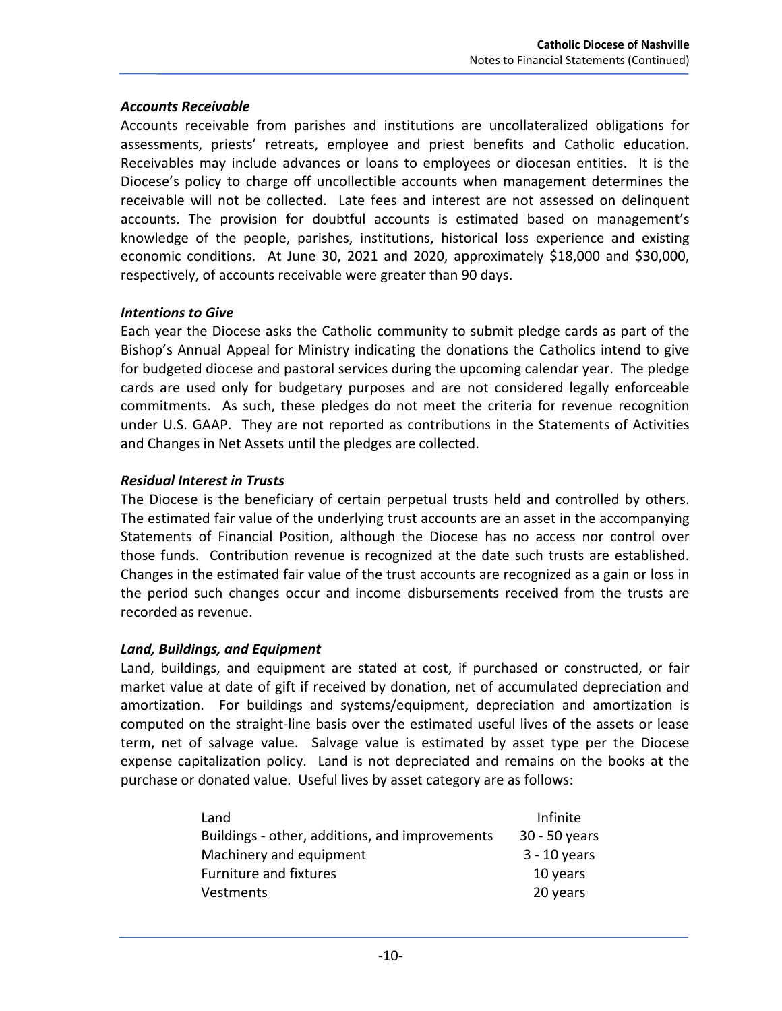### *Accounts Receivable*

Accounts receivable from parishes and institutions are uncollateralized obligations for assessments, priests' retreats, employee and priest benefits and Catholic education. Receivables may include advances or loans to employees or diocesan entities. It is the Diocese's policy to charge off uncollectible accounts when management determines the receivable will not be collected. Late fees and interest are not assessed on delinquent accounts. The provision for doubtful accounts is estimated based on management's knowledge of the people, parishes, institutions, historical loss experience and existing economic conditions. At June 30, 2021 and 2020, approximately \$18,000 and \$30,000, respectively, of accounts receivable were greater than 90 days.

## *Intentions to Give*

Each year the Diocese asks the Catholic community to submit pledge cards as part of the Bishop's Annual Appeal for Ministry indicating the donations the Catholics intend to give for budgeted diocese and pastoral services during the upcoming calendar year. The pledge cards are used only for budgetary purposes and are not considered legally enforceable commitments. As such, these pledges do not meet the criteria for revenue recognition under U.S. GAAP. They are not reported as contributions in the Statements of Activities and Changes in Net Assets until the pledges are collected.

## *Residual Interest in Trusts*

The Diocese is the beneficiary of certain perpetual trusts held and controlled by others. The estimated fair value of the underlying trust accounts are an asset in the accompanying Statements of Financial Position, although the Diocese has no access nor control over those funds. Contribution revenue is recognized at the date such trusts are established. Changes in the estimated fair value of the trust accounts are recognized as a gain or loss in the period such changes occur and income disbursements received from the trusts are recorded as revenue.

## *Land, Buildings, and Equipment*

Land, buildings, and equipment are stated at cost, if purchased or constructed, or fair market value at date of gift if received by donation, net of accumulated depreciation and amortization. For buildings and systems/equipment, depreciation and amortization is computed on the straight‐line basis over the estimated useful lives of the assets or lease term, net of salvage value. Salvage value is estimated by asset type per the Diocese expense capitalization policy. Land is not depreciated and remains on the books at the purchase or donated value. Useful lives by asset category are as follows:

| Land                                           | Infinite       |
|------------------------------------------------|----------------|
| Buildings - other, additions, and improvements | 30 - 50 years  |
| Machinery and equipment                        | $3 - 10$ years |
| Furniture and fixtures                         | 10 years       |
| Vestments                                      | 20 years       |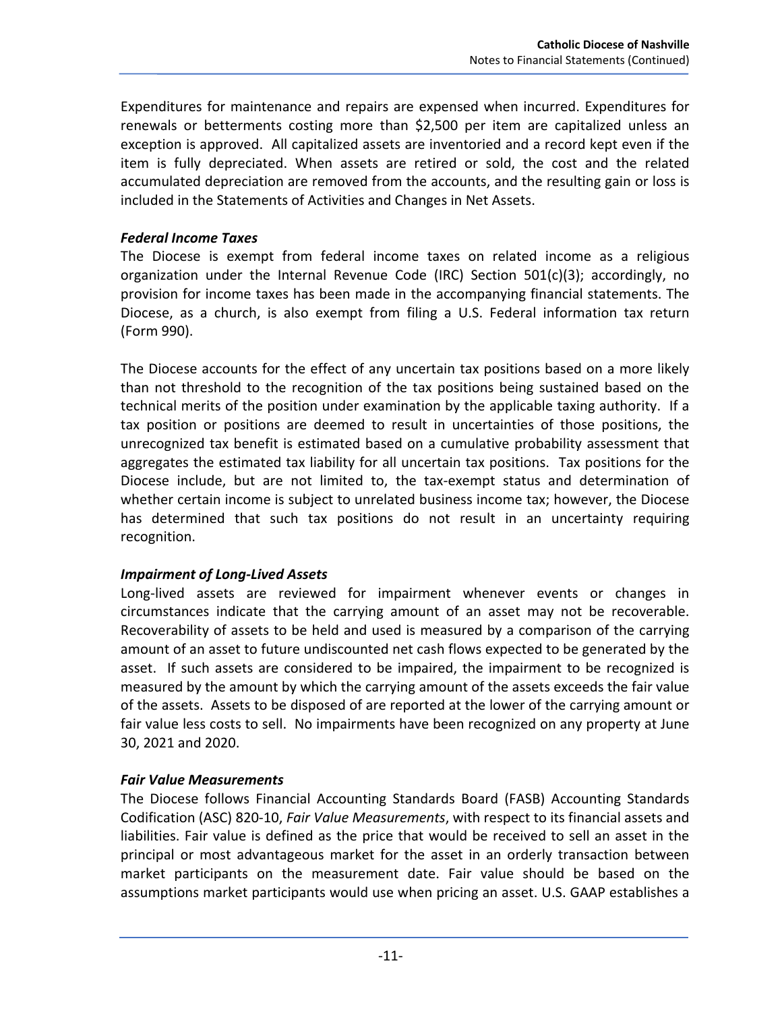Expenditures for maintenance and repairs are expensed when incurred. Expenditures for renewals or betterments costing more than \$2,500 per item are capitalized unless an exception is approved. All capitalized assets are inventoried and a record kept even if the item is fully depreciated. When assets are retired or sold, the cost and the related accumulated depreciation are removed from the accounts, and the resulting gain or loss is included in the Statements of Activities and Changes in Net Assets.

## *Federal Income Taxes*

The Diocese is exempt from federal income taxes on related income as a religious organization under the Internal Revenue Code (IRC) Section 501(c)(3); accordingly, no provision for income taxes has been made in the accompanying financial statements. The Diocese, as a church, is also exempt from filing a U.S. Federal information tax return (Form 990).

The Diocese accounts for the effect of any uncertain tax positions based on a more likely than not threshold to the recognition of the tax positions being sustained based on the technical merits of the position under examination by the applicable taxing authority. If a tax position or positions are deemed to result in uncertainties of those positions, the unrecognized tax benefit is estimated based on a cumulative probability assessment that aggregates the estimated tax liability for all uncertain tax positions. Tax positions for the Diocese include, but are not limited to, the tax‐exempt status and determination of whether certain income is subject to unrelated business income tax; however, the Diocese has determined that such tax positions do not result in an uncertainty requiring recognition.

## *Impairment of Long‐Lived Assets*

Long-lived assets are reviewed for impairment whenever events or changes in circumstances indicate that the carrying amount of an asset may not be recoverable. Recoverability of assets to be held and used is measured by a comparison of the carrying amount of an asset to future undiscounted net cash flows expected to be generated by the asset. If such assets are considered to be impaired, the impairment to be recognized is measured by the amount by which the carrying amount of the assets exceeds the fair value of the assets. Assets to be disposed of are reported at the lower of the carrying amount or fair value less costs to sell. No impairments have been recognized on any property at June 30, 2021 and 2020.

## *Fair Value Measurements*

The Diocese follows Financial Accounting Standards Board (FASB) Accounting Standards Codification (ASC) 820‐10, *Fair Value Measurements*, with respect to its financial assets and liabilities. Fair value is defined as the price that would be received to sell an asset in the principal or most advantageous market for the asset in an orderly transaction between market participants on the measurement date. Fair value should be based on the assumptions market participants would use when pricing an asset. U.S. GAAP establishes a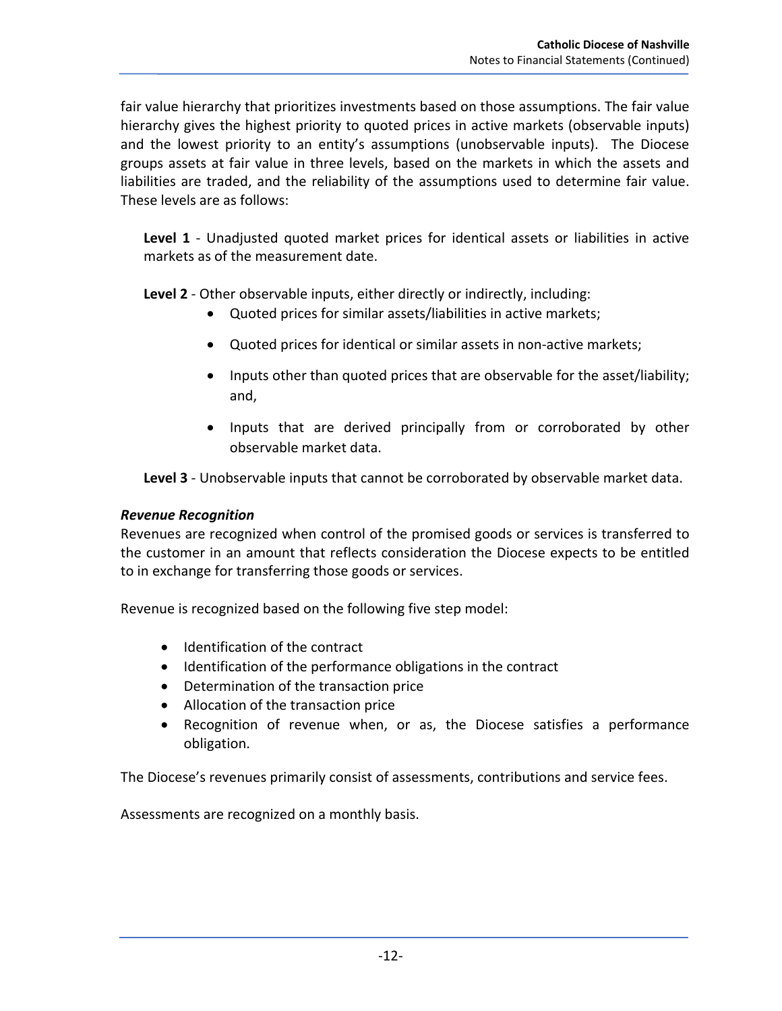fair value hierarchy that prioritizes investments based on those assumptions. The fair value hierarchy gives the highest priority to quoted prices in active markets (observable inputs) and the lowest priority to an entity's assumptions (unobservable inputs). The Diocese groups assets at fair value in three levels, based on the markets in which the assets and liabilities are traded, and the reliability of the assumptions used to determine fair value. These levels are as follows:

**Level 1** - Unadjusted quoted market prices for identical assets or liabilities in active markets as of the measurement date.

**Level 2** ‐ Other observable inputs, either directly or indirectly, including:

- Quoted prices for similar assets/liabilities in active markets;
- Quoted prices for identical or similar assets in non-active markets;
- Inputs other than quoted prices that are observable for the asset/liability; and,
- Inputs that are derived principally from or corroborated by other observable market data.

**Level 3** ‐ Unobservable inputs that cannot be corroborated by observable market data.

## *Revenue Recognition*

Revenues are recognized when control of the promised goods or services is transferred to the customer in an amount that reflects consideration the Diocese expects to be entitled to in exchange for transferring those goods or services.

Revenue is recognized based on the following five step model:

- Identification of the contract
- Identification of the performance obligations in the contract
- Determination of the transaction price
- Allocation of the transaction price
- Recognition of revenue when, or as, the Diocese satisfies a performance obligation.

The Diocese's revenues primarily consist of assessments, contributions and service fees.

Assessments are recognized on a monthly basis.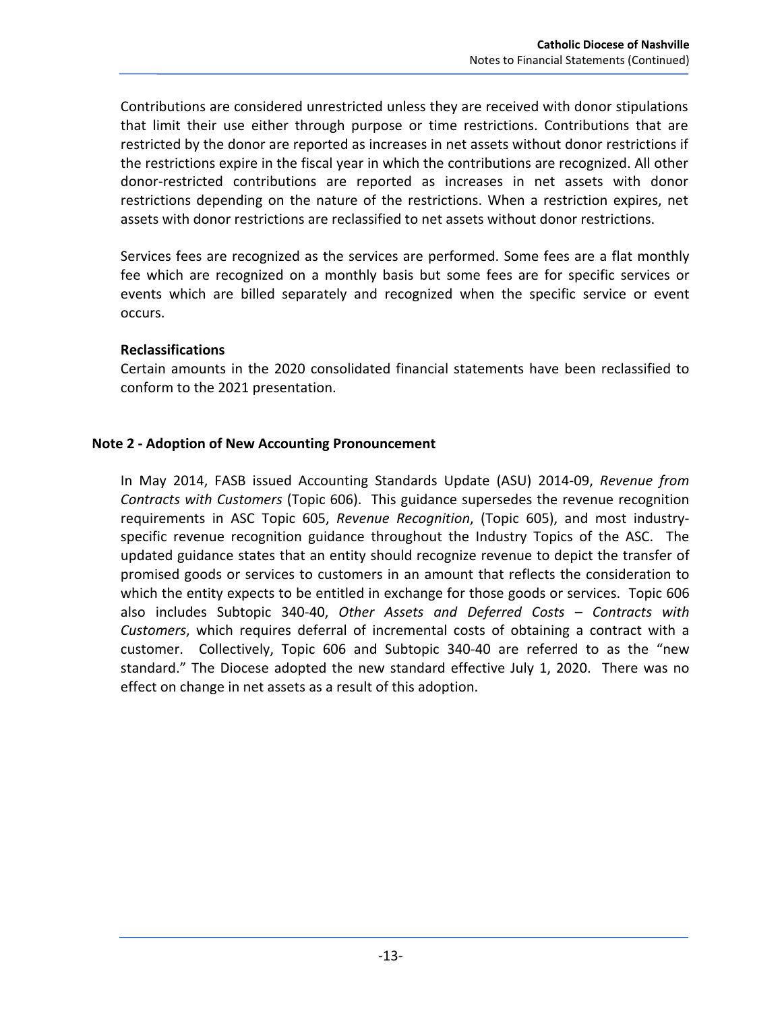Contributions are considered unrestricted unless they are received with donor stipulations that limit their use either through purpose or time restrictions. Contributions that are restricted by the donor are reported as increases in net assets without donor restrictions if the restrictions expire in the fiscal year in which the contributions are recognized. All other donor‐restricted contributions are reported as increases in net assets with donor restrictions depending on the nature of the restrictions. When a restriction expires, net assets with donor restrictions are reclassified to net assets without donor restrictions.

Services fees are recognized as the services are performed. Some fees are a flat monthly fee which are recognized on a monthly basis but some fees are for specific services or events which are billed separately and recognized when the specific service or event occurs.

### **Reclassifications**

Certain amounts in the 2020 consolidated financial statements have been reclassified to conform to the 2021 presentation.

### **Note 2 ‐ Adoption of New Accounting Pronouncement**

In May 2014, FASB issued Accounting Standards Update (ASU) 2014‐09, *Revenue from Contracts with Customers* (Topic 606). This guidance supersedes the revenue recognition requirements in ASC Topic 605, *Revenue Recognition*, (Topic 605), and most industry‐ specific revenue recognition guidance throughout the Industry Topics of the ASC. The updated guidance states that an entity should recognize revenue to depict the transfer of promised goods or services to customers in an amount that reflects the consideration to which the entity expects to be entitled in exchange for those goods or services. Topic 606 also includes Subtopic 340‐40, *Other Assets and Deferred Costs – Contracts with Customers*, which requires deferral of incremental costs of obtaining a contract with a customer. Collectively, Topic 606 and Subtopic 340‐40 are referred to as the "new standard." The Diocese adopted the new standard effective July 1, 2020. There was no effect on change in net assets as a result of this adoption.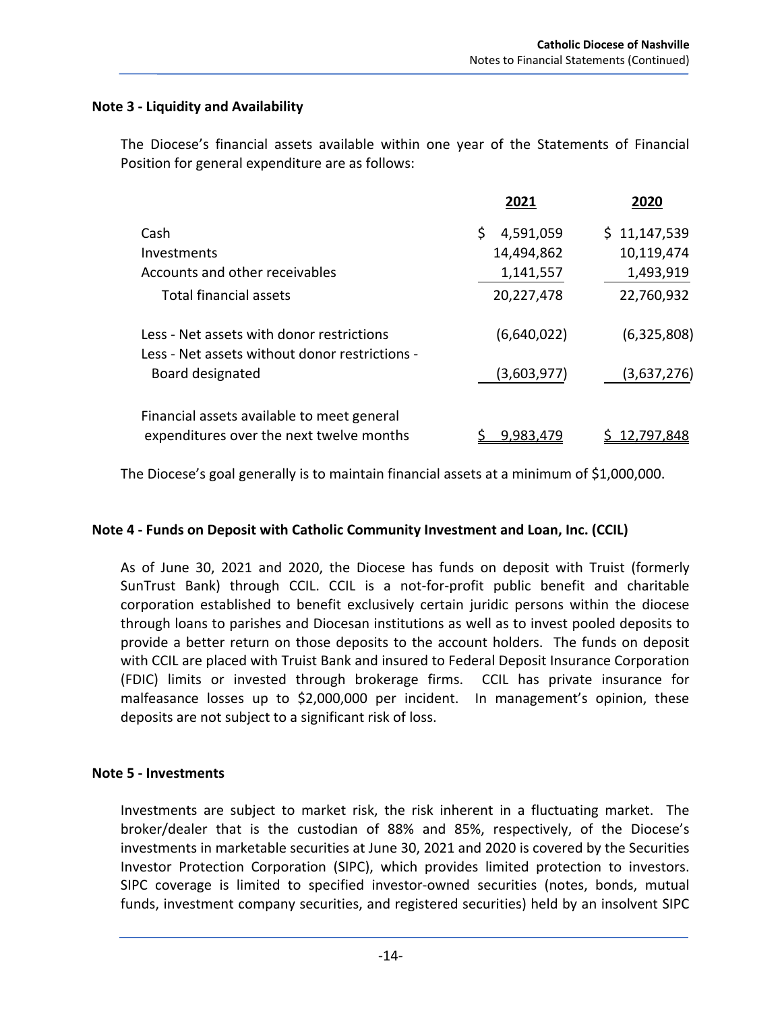### **Note 3 ‐ Liquidity and Availability**

The Diocese's financial assets available within one year of the Statements of Financial Position for general expenditure are as follows:

|                                                                                             | 2021            | 2020         |
|---------------------------------------------------------------------------------------------|-----------------|--------------|
| Cash                                                                                        | \$<br>4,591,059 | \$11,147,539 |
| Investments                                                                                 | 14,494,862      | 10,119,474   |
| Accounts and other receivables                                                              | 1,141,557       | 1,493,919    |
| Total financial assets                                                                      | 20,227,478      | 22,760,932   |
| Less - Net assets with donor restrictions<br>Less - Net assets without donor restrictions - | (6,640,022)     | (6,325,808)  |
| Board designated                                                                            | (3,603,977)     | (3,637,276)  |
| Financial assets available to meet general<br>expenditures over the next twelve months      | 9,983,479       | 12,797,848   |

The Diocese's goal generally is to maintain financial assets at a minimum of \$1,000,000.

## **Note 4 ‐ Funds on Deposit with Catholic Community Investment and Loan, Inc. (CCIL)**

As of June 30, 2021 and 2020, the Diocese has funds on deposit with Truist (formerly SunTrust Bank) through CCIL. CCIL is a not‐for‐profit public benefit and charitable corporation established to benefit exclusively certain juridic persons within the diocese through loans to parishes and Diocesan institutions as well as to invest pooled deposits to provide a better return on those deposits to the account holders. The funds on deposit with CCIL are placed with Truist Bank and insured to Federal Deposit Insurance Corporation (FDIC) limits or invested through brokerage firms. CCIL has private insurance for malfeasance losses up to \$2,000,000 per incident. In management's opinion, these deposits are not subject to a significant risk of loss.

#### **Note 5 ‐ Investments**

Investments are subject to market risk, the risk inherent in a fluctuating market. The broker/dealer that is the custodian of 88% and 85%, respectively, of the Diocese's investments in marketable securities at June 30, 2021 and 2020 is covered by the Securities Investor Protection Corporation (SIPC), which provides limited protection to investors. SIPC coverage is limited to specified investor‐owned securities (notes, bonds, mutual funds, investment company securities, and registered securities) held by an insolvent SIPC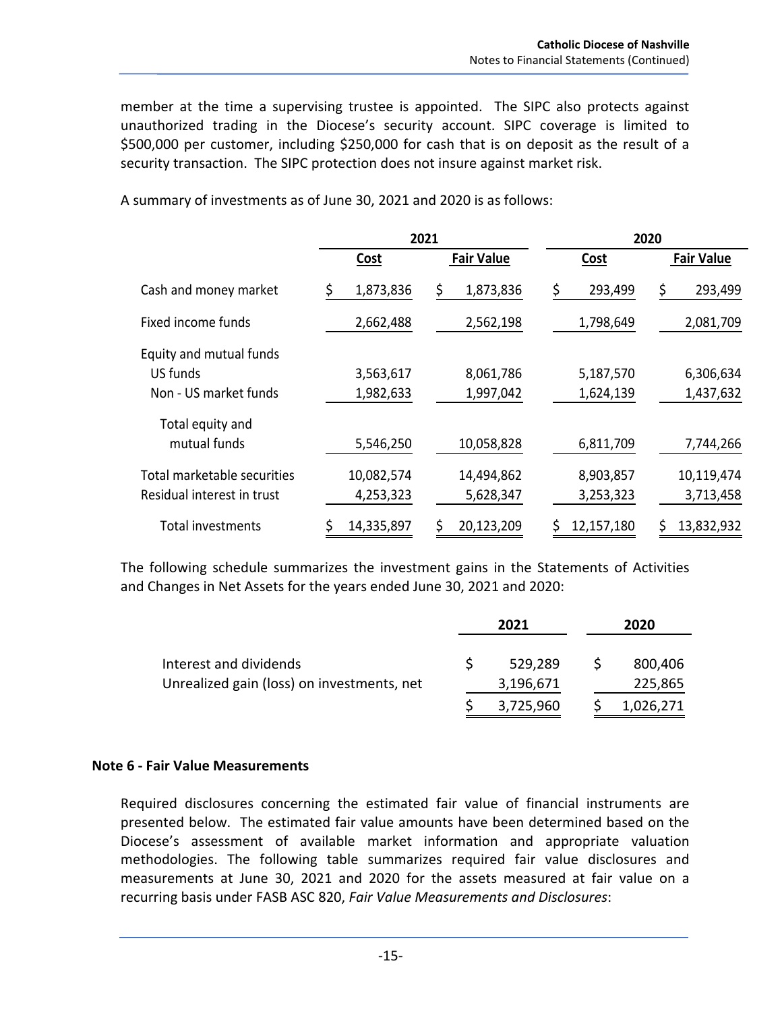member at the time a supervising trustee is appointed. The SIPC also protects against unauthorized trading in the Diocese's security account. SIPC coverage is limited to \$500,000 per customer, including \$250,000 for cash that is on deposit as the result of a security transaction. The SIPC protection does not insure against market risk.

|                             | 2021        |                   |               | 2020              |
|-----------------------------|-------------|-------------------|---------------|-------------------|
|                             | <b>Cost</b> | <b>Fair Value</b> | <b>Cost</b>   | <b>Fair Value</b> |
| Cash and money market       | 1,873,836   | 1,873,836<br>\$   | 293,499<br>\$ | 293,499<br>\$     |
| Fixed income funds          | 2,662,488   | 2,562,198         | 1,798,649     | 2,081,709         |
| Equity and mutual funds     |             |                   |               |                   |
| US funds                    | 3,563,617   | 8,061,786         | 5,187,570     | 6,306,634         |
| Non - US market funds       | 1,982,633   | 1,997,042         | 1,624,139     | 1,437,632         |
| Total equity and            |             |                   |               |                   |
| mutual funds                | 5,546,250   | 10,058,828        | 6,811,709     | 7,744,266         |
| Total marketable securities | 10,082,574  | 14,494,862        | 8,903,857     | 10,119,474        |
| Residual interest in trust  | 4,253,323   | 5,628,347         | 3,253,323     | 3,713,458         |
| Total investments           | 14,335,897  | 20,123,209        | 12,157,180    | 13,832,932        |

A summary of investments as of June 30, 2021 and 2020 is as follows:

The following schedule summarizes the investment gains in the Statements of Activities and Changes in Net Assets for the years ended June 30, 2021 and 2020:

|                                            | 2021 |           | 2020 |           |
|--------------------------------------------|------|-----------|------|-----------|
| Interest and dividends                     |      | 529,289   |      | 800,406   |
|                                            |      |           |      |           |
| Unrealized gain (loss) on investments, net |      | 3,196,671 |      | 225,865   |
|                                            |      | 3,725,960 |      | 1,026,271 |

#### **Note 6 ‐ Fair Value Measurements**

Required disclosures concerning the estimated fair value of financial instruments are presented below. The estimated fair value amounts have been determined based on the Diocese's assessment of available market information and appropriate valuation methodologies. The following table summarizes required fair value disclosures and measurements at June 30, 2021 and 2020 for the assets measured at fair value on a recurring basis under FASB ASC 820, *Fair Value Measurements and Disclosures*: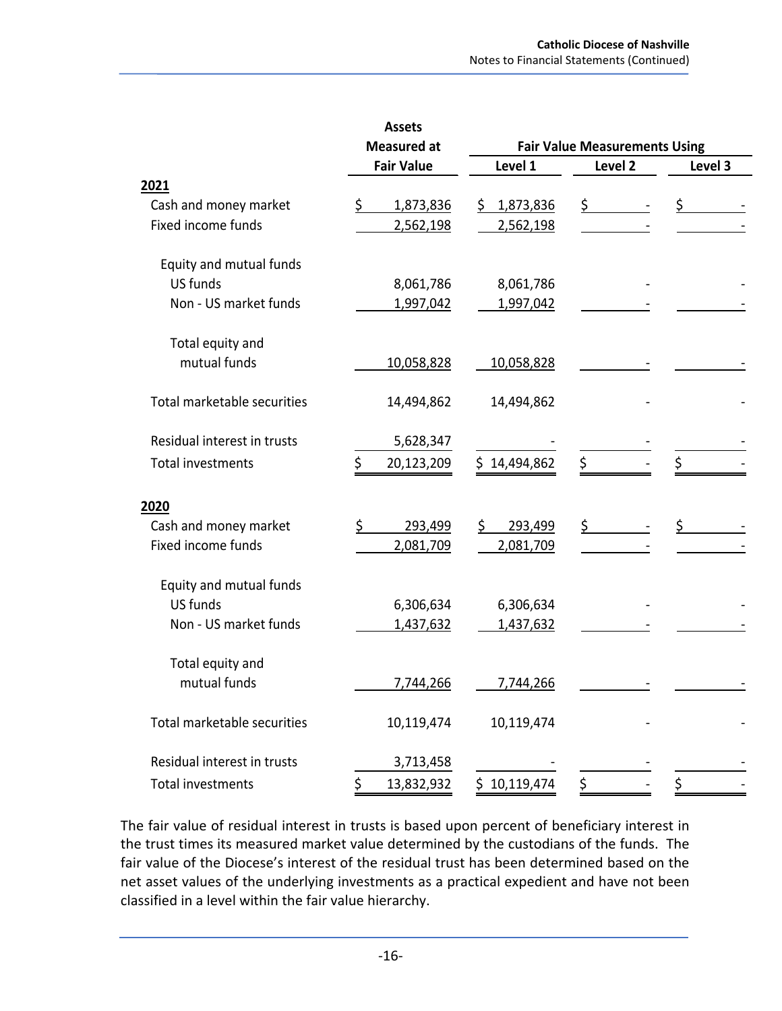|                             | <b>Assets</b>      |                  |                                      |         |  |  |
|-----------------------------|--------------------|------------------|--------------------------------------|---------|--|--|
|                             | <b>Measured at</b> |                  | <b>Fair Value Measurements Using</b> |         |  |  |
|                             | <b>Fair Value</b>  | Level 1          | Level 2                              | Level 3 |  |  |
| 2021                        |                    |                  |                                      |         |  |  |
| Cash and money market       | 1,873,836<br>S     | \$1,873,836      | \$                                   | \$      |  |  |
| Fixed income funds          | 2,562,198          | 2,562,198        |                                      |         |  |  |
| Equity and mutual funds     |                    |                  |                                      |         |  |  |
| US funds                    | 8,061,786          | 8,061,786        |                                      |         |  |  |
| Non - US market funds       | 1,997,042          | 1,997,042        |                                      |         |  |  |
| Total equity and            |                    |                  |                                      |         |  |  |
| mutual funds                | 10,058,828         | 10,058,828       |                                      |         |  |  |
| Total marketable securities | 14,494,862         | 14,494,862       |                                      |         |  |  |
| Residual interest in trusts | 5,628,347          |                  |                                      |         |  |  |
| <b>Total investments</b>    | Ś.<br>20,123,209   | 14,494,862<br>Ś. | \$                                   | \$      |  |  |
| 2020                        |                    |                  |                                      |         |  |  |
| Cash and money market       | 293,499            | \$<br>293,499    | \$.                                  | \$      |  |  |
| Fixed income funds          | 2,081,709          | 2,081,709        |                                      |         |  |  |
| Equity and mutual funds     |                    |                  |                                      |         |  |  |
| US funds                    | 6,306,634          | 6,306,634        |                                      |         |  |  |
| Non - US market funds       | 1,437,632          | 1,437,632        |                                      |         |  |  |
| Total equity and            |                    |                  |                                      |         |  |  |
| mutual funds                | 7,744,266          | 7,744,266        |                                      |         |  |  |
| Total marketable securities | 10,119,474         | 10,119,474       |                                      |         |  |  |
| Residual interest in trusts | 3,713,458          |                  |                                      |         |  |  |
| <b>Total investments</b>    | 13,832,932<br>\$   | \$10,119,474     | \$                                   | \$      |  |  |

The fair value of residual interest in trusts is based upon percent of beneficiary interest in the trust times its measured market value determined by the custodians of the funds. The fair value of the Diocese's interest of the residual trust has been determined based on the net asset values of the underlying investments as a practical expedient and have not been classified in a level within the fair value hierarchy.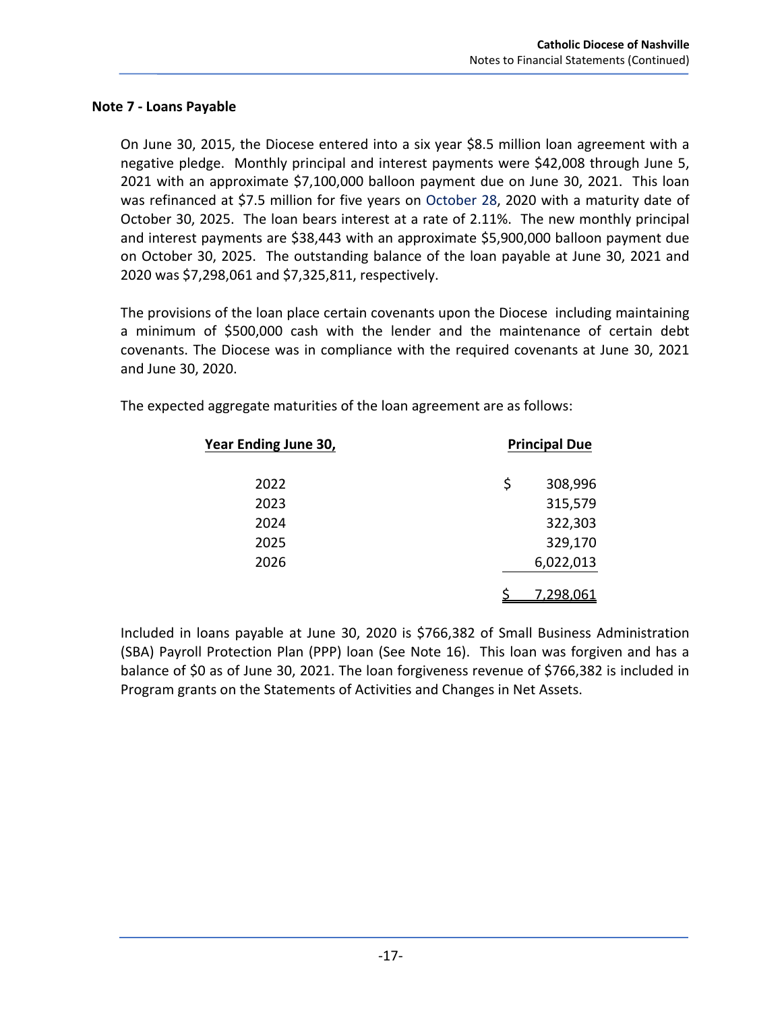#### **Note 7 ‐ Loans Payable**

On June 30, 2015, the Diocese entered into a six year \$8.5 million loan agreement with a negative pledge. Monthly principal and interest payments were \$42,008 through June 5, 2021 with an approximate \$7,100,000 balloon payment due on June 30, 2021. This loan was refinanced at \$7.5 million for five years on October 28, 2020 with a maturity date of October 30, 2025. The loan bears interest at a rate of 2.11%. The new monthly principal and interest payments are \$38,443 with an approximate \$5,900,000 balloon payment due on October 30, 2025. The outstanding balance of the loan payable at June 30, 2021 and 2020 was \$7,298,061 and \$7,325,811, respectively.

The provisions of the loan place certain covenants upon the Diocese including maintaining a minimum of \$500,000 cash with the lender and the maintenance of certain debt covenants. The Diocese was in compliance with the required covenants at June 30, 2021 and June 30, 2020.

| Year Ending June 30, | <b>Principal Due</b> |  |  |
|----------------------|----------------------|--|--|
| 2022                 | \$<br>308,996        |  |  |
| 2023                 | 315,579              |  |  |
| 2024                 | 322,303              |  |  |
| 2025                 | 329,170              |  |  |
| 2026                 | 6,022,013            |  |  |
|                      | <u>7.298.061</u>     |  |  |

The expected aggregate maturities of the loan agreement are as follows:

Included in loans payable at June 30, 2020 is \$766,382 of Small Business Administration (SBA) Payroll Protection Plan (PPP) loan (See Note 16). This loan was forgiven and has a balance of \$0 as of June 30, 2021. The loan forgiveness revenue of \$766,382 is included in Program grants on the Statements of Activities and Changes in Net Assets.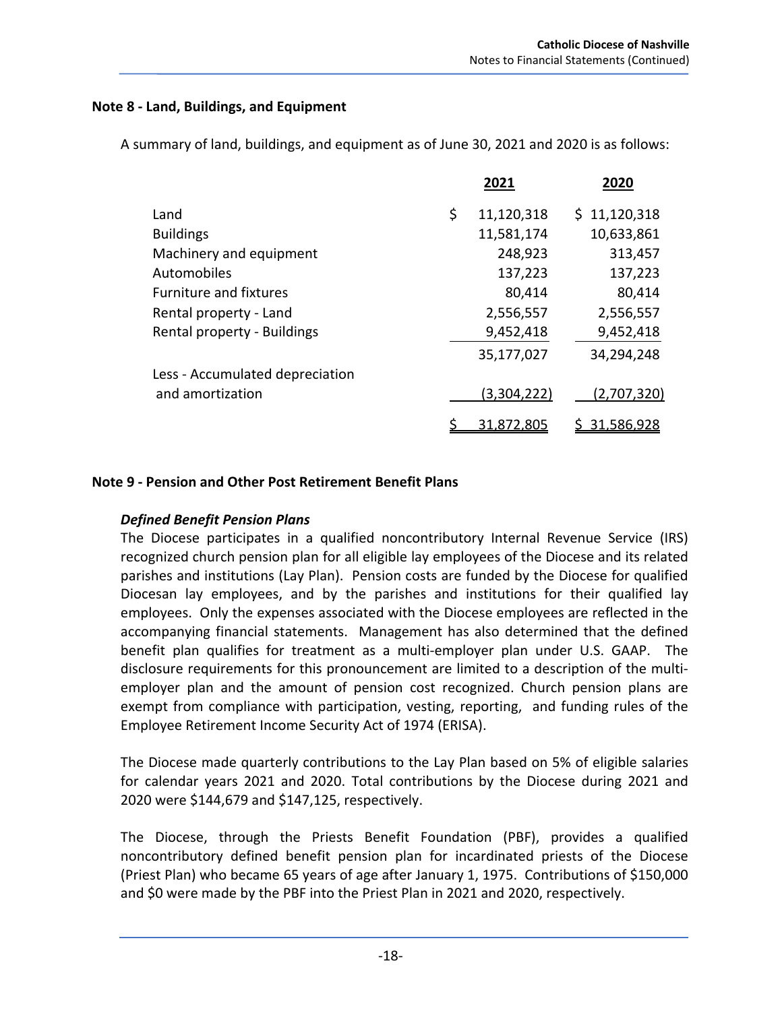### **Note 8 ‐ Land, Buildings, and Equipment**

A summary of land, buildings, and equipment as of June 30, 2021 and 2020 is as follows:

|                                 | 2021             | 2020         |
|---------------------------------|------------------|--------------|
| Land                            | \$<br>11,120,318 | \$11,120,318 |
| <b>Buildings</b>                | 11,581,174       | 10,633,861   |
| Machinery and equipment         | 248,923          | 313,457      |
| Automobiles                     | 137,223          | 137,223      |
| <b>Furniture and fixtures</b>   | 80,414           | 80,414       |
| Rental property - Land          | 2,556,557        | 2,556,557    |
| Rental property - Buildings     | 9,452,418        | 9,452,418    |
|                                 | 35,177,027       | 34,294,248   |
| Less - Accumulated depreciation |                  |              |
| and amortization                | (3,304,222)      | (2,707,320)  |
|                                 | 31.872.805       | 31.586.928   |

### **Note 9 ‐ Pension and Other Post Retirement Benefit Plans**

## *Defined Benefit Pension Plans*

The Diocese participates in a qualified noncontributory Internal Revenue Service (IRS) recognized church pension plan for all eligible lay employees of the Diocese and its related parishes and institutions (Lay Plan). Pension costs are funded by the Diocese for qualified Diocesan lay employees, and by the parishes and institutions for their qualified lay employees. Only the expenses associated with the Diocese employees are reflected in the accompanying financial statements. Management has also determined that the defined benefit plan qualifies for treatment as a multi-employer plan under U.S. GAAP. The disclosure requirements for this pronouncement are limited to a description of the multi‐ employer plan and the amount of pension cost recognized. Church pension plans are exempt from compliance with participation, vesting, reporting, and funding rules of the Employee Retirement Income Security Act of 1974 (ERISA).

The Diocese made quarterly contributions to the Lay Plan based on 5% of eligible salaries for calendar years 2021 and 2020. Total contributions by the Diocese during 2021 and 2020 were \$144,679 and \$147,125, respectively.

The Diocese, through the Priests Benefit Foundation (PBF), provides a qualified noncontributory defined benefit pension plan for incardinated priests of the Diocese (Priest Plan) who became 65 years of age after January 1, 1975. Contributions of \$150,000 and \$0 were made by the PBF into the Priest Plan in 2021 and 2020, respectively.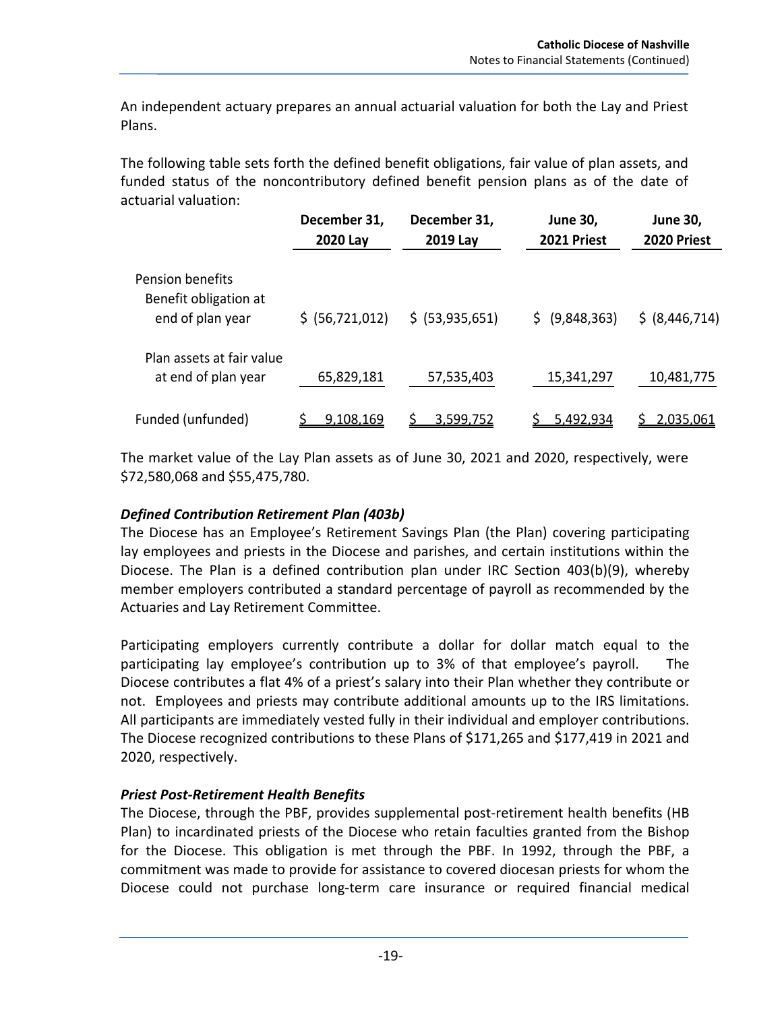An independent actuary prepares an annual actuarial valuation for both the Lay and Priest Plans.

The following table sets forth the defined benefit obligations, fair value of plan assets, and funded status of the noncontributory defined benefit pension plans as of the date of actuarial valuation:

|                                                  | December 31,<br>2020 Lay | December 31,<br>2019 Lay | <b>June 30,</b><br>2021 Priest | <b>June 30,</b><br>2020 Priest |
|--------------------------------------------------|--------------------------|--------------------------|--------------------------------|--------------------------------|
| <b>Pension benefits</b><br>Benefit obligation at |                          |                          |                                |                                |
| end of plan year                                 | \$ (56, 721, 012)        | $$$ (53,935,651)         | \$ (9,848,363)                 | \$ (8,446,714)                 |
| Plan assets at fair value                        |                          |                          |                                |                                |
| at end of plan year                              | 65,829,181               | 57,535,403               | 15,341,297                     | 10,481,775                     |
| Funded (unfunded)                                | 9.108.169                | 3.599.752                | 5.492.934                      | 2.035.061                      |

The market value of the Lay Plan assets as of June 30, 2021 and 2020, respectively, were \$72,580,068 and \$55,475,780.

## *Defined Contribution Retirement Plan (403b)*

The Diocese has an Employee's Retirement Savings Plan (the Plan) covering participating lay employees and priests in the Diocese and parishes, and certain institutions within the Diocese. The Plan is a defined contribution plan under IRC Section 403(b)(9), whereby member employers contributed a standard percentage of payroll as recommended by the Actuaries and Lay Retirement Committee.

Participating employers currently contribute a dollar for dollar match equal to the participating lay employee's contribution up to 3% of that employee's payroll. The Diocese contributes a flat 4% of a priest's salary into their Plan whether they contribute or not. Employees and priests may contribute additional amounts up to the IRS limitations. All participants are immediately vested fully in their individual and employer contributions. The Diocese recognized contributions to these Plans of \$171,265 and \$177,419 in 2021 and 2020, respectively.

# *Priest Post‐Retirement Health Benefits*

The Diocese, through the PBF, provides supplemental post-retirement health benefits (HB Plan) to incardinated priests of the Diocese who retain faculties granted from the Bishop for the Diocese. This obligation is met through the PBF. In 1992, through the PBF, a commitment was made to provide for assistance to covered diocesan priests for whom the Diocese could not purchase long‐term care insurance or required financial medical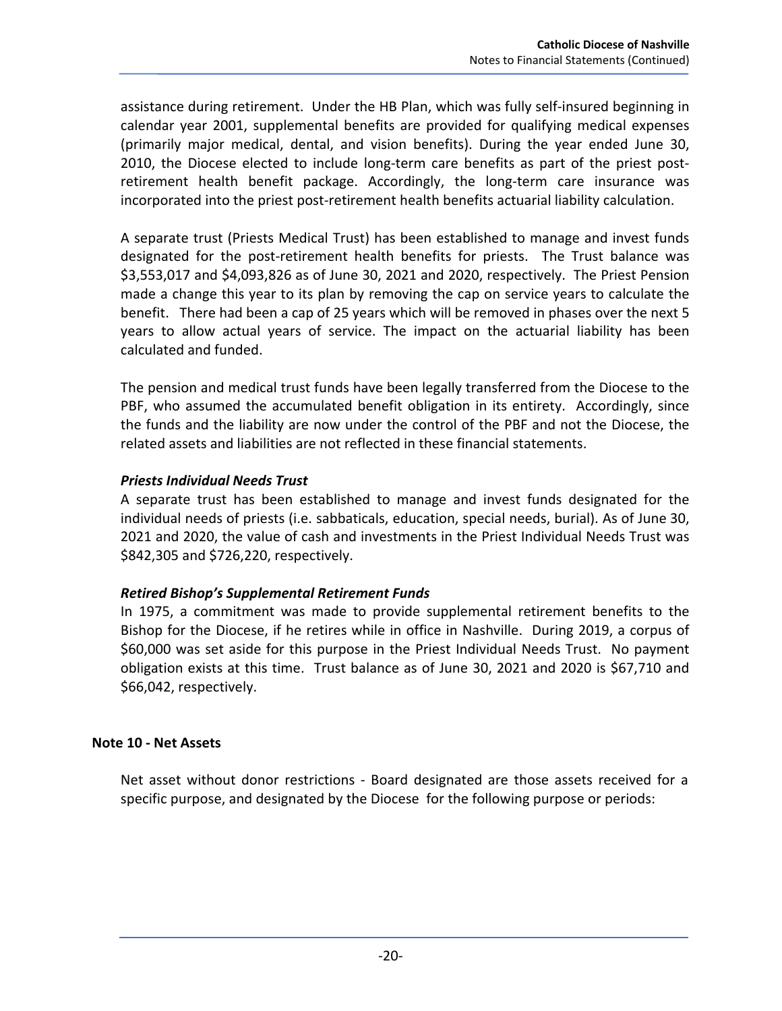assistance during retirement. Under the HB Plan, which was fully self‐insured beginning in calendar year 2001, supplemental benefits are provided for qualifying medical expenses (primarily major medical, dental, and vision benefits). During the year ended June 30, 2010, the Diocese elected to include long-term care benefits as part of the priest postretirement health benefit package. Accordingly, the long-term care insurance was incorporated into the priest post-retirement health benefits actuarial liability calculation.

A separate trust (Priests Medical Trust) has been established to manage and invest funds designated for the post-retirement health benefits for priests. The Trust balance was \$3,553,017 and \$4,093,826 as of June 30, 2021 and 2020, respectively. The Priest Pension made a change this year to its plan by removing the cap on service years to calculate the benefit. There had been a cap of 25 years which will be removed in phases over the next 5 years to allow actual years of service. The impact on the actuarial liability has been calculated and funded.

The pension and medical trust funds have been legally transferred from the Diocese to the PBF, who assumed the accumulated benefit obligation in its entirety. Accordingly, since the funds and the liability are now under the control of the PBF and not the Diocese, the related assets and liabilities are not reflected in these financial statements.

## *Priests Individual Needs Trust*

A separate trust has been established to manage and invest funds designated for the individual needs of priests (i.e. sabbaticals, education, special needs, burial). As of June 30, 2021 and 2020, the value of cash and investments in the Priest Individual Needs Trust was \$842,305 and \$726,220, respectively.

## *Retired Bishop's Supplemental Retirement Funds*

In 1975, a commitment was made to provide supplemental retirement benefits to the Bishop for the Diocese, if he retires while in office in Nashville. During 2019, a corpus of \$60,000 was set aside for this purpose in the Priest Individual Needs Trust. No payment obligation exists at this time. Trust balance as of June 30, 2021 and 2020 is \$67,710 and \$66,042, respectively.

## **Note 10 ‐ Net Assets**

Net asset without donor restrictions - Board designated are those assets received for a specific purpose, and designated by the Diocese for the following purpose or periods: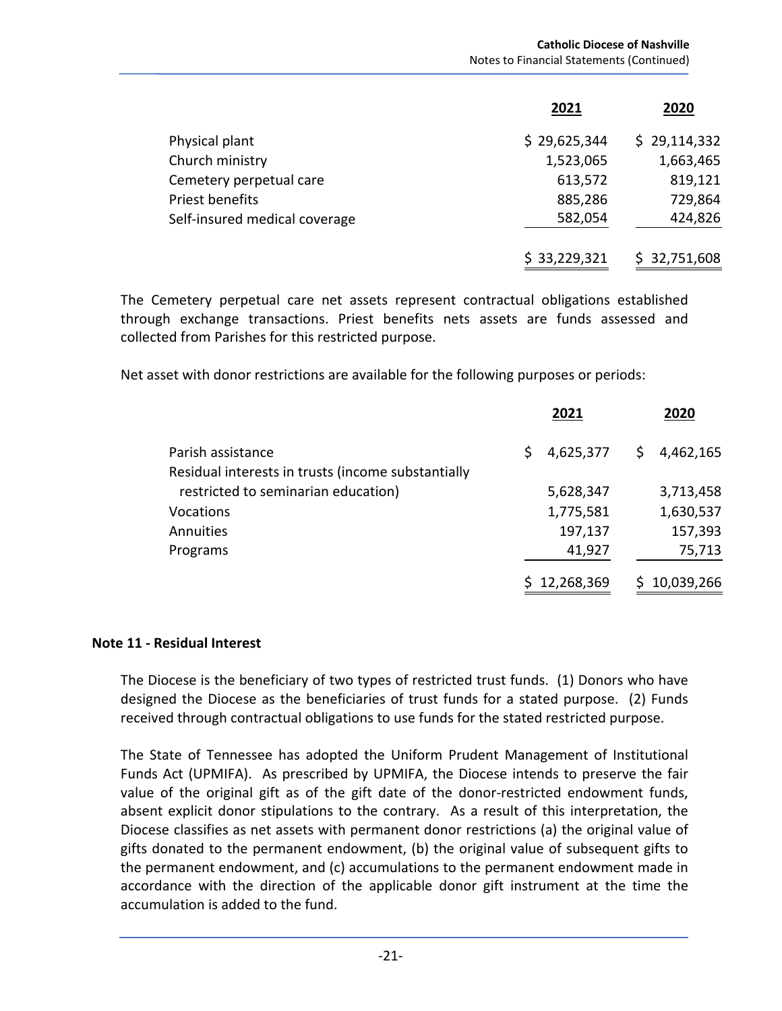|                               | 2021         | 2020         |
|-------------------------------|--------------|--------------|
| Physical plant                | \$29,625,344 | \$29,114,332 |
| Church ministry               | 1,523,065    | 1,663,465    |
| Cemetery perpetual care       | 613,572      | 819,121      |
| Priest benefits               | 885,286      | 729,864      |
| Self-insured medical coverage | 582,054      | 424,826      |
|                               | \$33,229,321 | \$32,751,608 |

The Cemetery perpetual care net assets represent contractual obligations established through exchange transactions. Priest benefits nets assets are funds assessed and collected from Parishes for this restricted purpose.

Net asset with donor restrictions are available for the following purposes or periods:

|                                                    | 2021            | 2020            |
|----------------------------------------------------|-----------------|-----------------|
| Parish assistance                                  | 4,625,377<br>S. | 4,462,165<br>S. |
| Residual interests in trusts (income substantially |                 |                 |
| restricted to seminarian education)                | 5,628,347       | 3,713,458       |
| <b>Vocations</b>                                   | 1,775,581       | 1,630,537       |
| Annuities                                          | 197,137         | 157,393         |
| Programs                                           | 41,927          | 75,713          |
|                                                    | \$12,268,369    | 10,039,266      |

#### **Note 11 ‐ Residual Interest**

The Diocese is the beneficiary of two types of restricted trust funds. (1) Donors who have designed the Diocese as the beneficiaries of trust funds for a stated purpose. (2) Funds received through contractual obligations to use funds for the stated restricted purpose.

The State of Tennessee has adopted the Uniform Prudent Management of Institutional Funds Act (UPMIFA). As prescribed by UPMIFA, the Diocese intends to preserve the fair value of the original gift as of the gift date of the donor-restricted endowment funds, absent explicit donor stipulations to the contrary. As a result of this interpretation, the Diocese classifies as net assets with permanent donor restrictions (a) the original value of gifts donated to the permanent endowment, (b) the original value of subsequent gifts to the permanent endowment, and (c) accumulations to the permanent endowment made in accordance with the direction of the applicable donor gift instrument at the time the accumulation is added to the fund.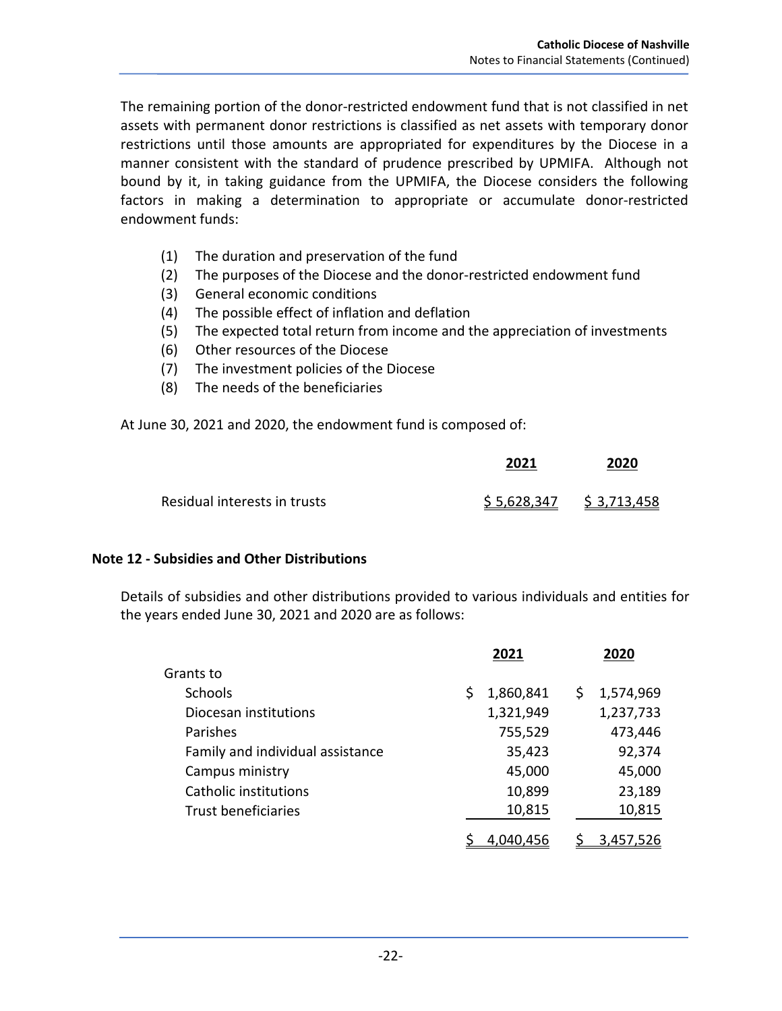The remaining portion of the donor-restricted endowment fund that is not classified in net assets with permanent donor restrictions is classified as net assets with temporary donor restrictions until those amounts are appropriated for expenditures by the Diocese in a manner consistent with the standard of prudence prescribed by UPMIFA. Although not bound by it, in taking guidance from the UPMIFA, the Diocese considers the following factors in making a determination to appropriate or accumulate donor-restricted endowment funds:

- (1) The duration and preservation of the fund
- (2) The purposes of the Diocese and the donor‐restricted endowment fund
- (3) General economic conditions
- (4) The possible effect of inflation and deflation
- (5) The expected total return from income and the appreciation of investments
- (6) Other resources of the Diocese
- (7) The investment policies of the Diocese
- (8) The needs of the beneficiaries

At June 30, 2021 and 2020, the endowment fund is composed of:

|                              | 2021 | 2020                      |
|------------------------------|------|---------------------------|
| Residual interests in trusts |      | $$5,628,347$ $$3,713,458$ |

## **Note 12 ‐ Subsidies and Other Distributions**

Details of subsidies and other distributions provided to various individuals and entities for the years ended June 30, 2021 and 2020 are as follows:

|                                  | 2021           | 2020            |
|----------------------------------|----------------|-----------------|
| Grants to                        |                |                 |
| <b>Schools</b>                   | 1,860,841<br>Ś | 1,574,969<br>\$ |
| Diocesan institutions            | 1,321,949      | 1,237,733       |
| Parishes                         | 755,529        | 473,446         |
| Family and individual assistance | 35,423         | 92,374          |
| Campus ministry                  | 45,000         | 45,000          |
| Catholic institutions            | 10,899         | 23,189          |
| <b>Trust beneficiaries</b>       | 10,815         | 10,815          |
|                                  | 4.040.456      | 3.457.          |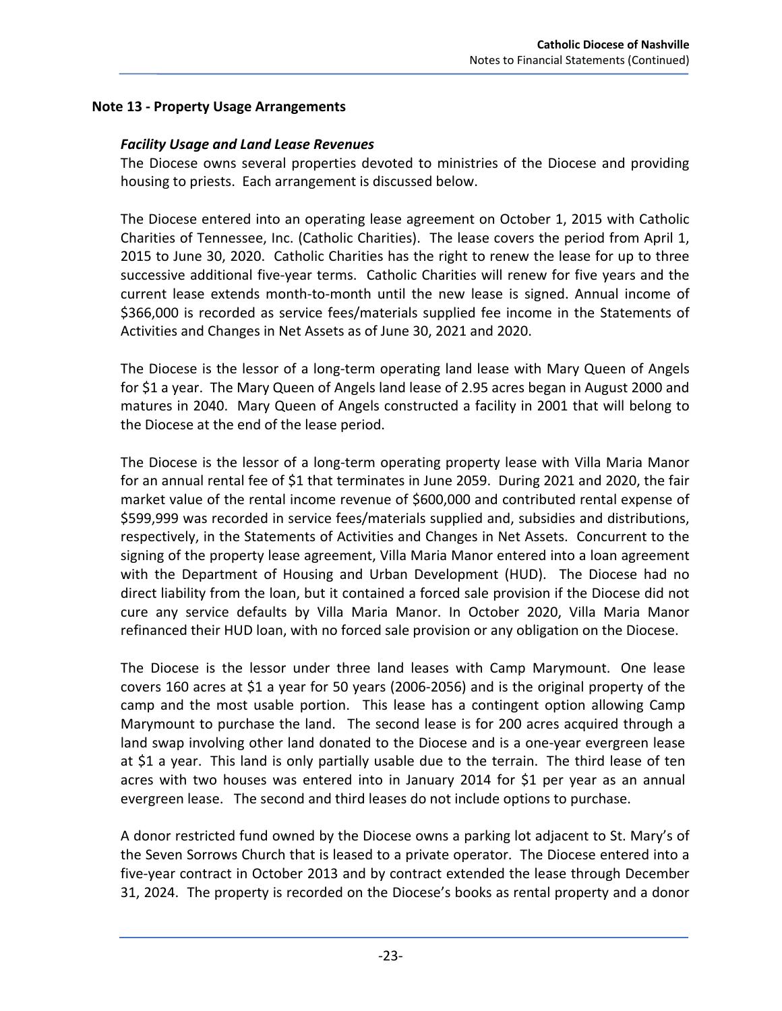### **Note 13 ‐ Property Usage Arrangements**

### *Facility Usage and Land Lease Revenues*

The Diocese owns several properties devoted to ministries of the Diocese and providing housing to priests. Each arrangement is discussed below.

The Diocese entered into an operating lease agreement on October 1, 2015 with Catholic Charities of Tennessee, Inc. (Catholic Charities). The lease covers the period from April 1, 2015 to June 30, 2020. Catholic Charities has the right to renew the lease for up to three successive additional five‐year terms. Catholic Charities will renew for five years and the current lease extends month‐to‐month until the new lease is signed. Annual income of \$366,000 is recorded as service fees/materials supplied fee income in the Statements of Activities and Changes in Net Assets as of June 30, 2021 and 2020.

The Diocese is the lessor of a long‐term operating land lease with Mary Queen of Angels for \$1 a year. The Mary Queen of Angels land lease of 2.95 acres began in August 2000 and matures in 2040. Mary Queen of Angels constructed a facility in 2001 that will belong to the Diocese at the end of the lease period.

The Diocese is the lessor of a long-term operating property lease with Villa Maria Manor for an annual rental fee of \$1 that terminates in June 2059. During 2021 and 2020, the fair market value of the rental income revenue of \$600,000 and contributed rental expense of \$599,999 was recorded in service fees/materials supplied and, subsidies and distributions, respectively, in the Statements of Activities and Changes in Net Assets. Concurrent to the signing of the property lease agreement, Villa Maria Manor entered into a loan agreement with the Department of Housing and Urban Development (HUD). The Diocese had no direct liability from the loan, but it contained a forced sale provision if the Diocese did not cure any service defaults by Villa Maria Manor. In October 2020, Villa Maria Manor refinanced their HUD loan, with no forced sale provision or any obligation on the Diocese.

The Diocese is the lessor under three land leases with Camp Marymount. One lease covers 160 acres at \$1 a year for 50 years (2006‐2056) and is the original property of the camp and the most usable portion. This lease has a contingent option allowing Camp Marymount to purchase the land. The second lease is for 200 acres acquired through a land swap involving other land donated to the Diocese and is a one‐year evergreen lease at \$1 a year. This land is only partially usable due to the terrain. The third lease of ten acres with two houses was entered into in January 2014 for \$1 per year as an annual evergreen lease. The second and third leases do not include options to purchase.

A donor restricted fund owned by the Diocese owns a parking lot adjacent to St. Mary's of the Seven Sorrows Church that is leased to a private operator. The Diocese entered into a five‐year contract in October 2013 and by contract extended the lease through December 31, 2024. The property is recorded on the Diocese's books as rental property and a donor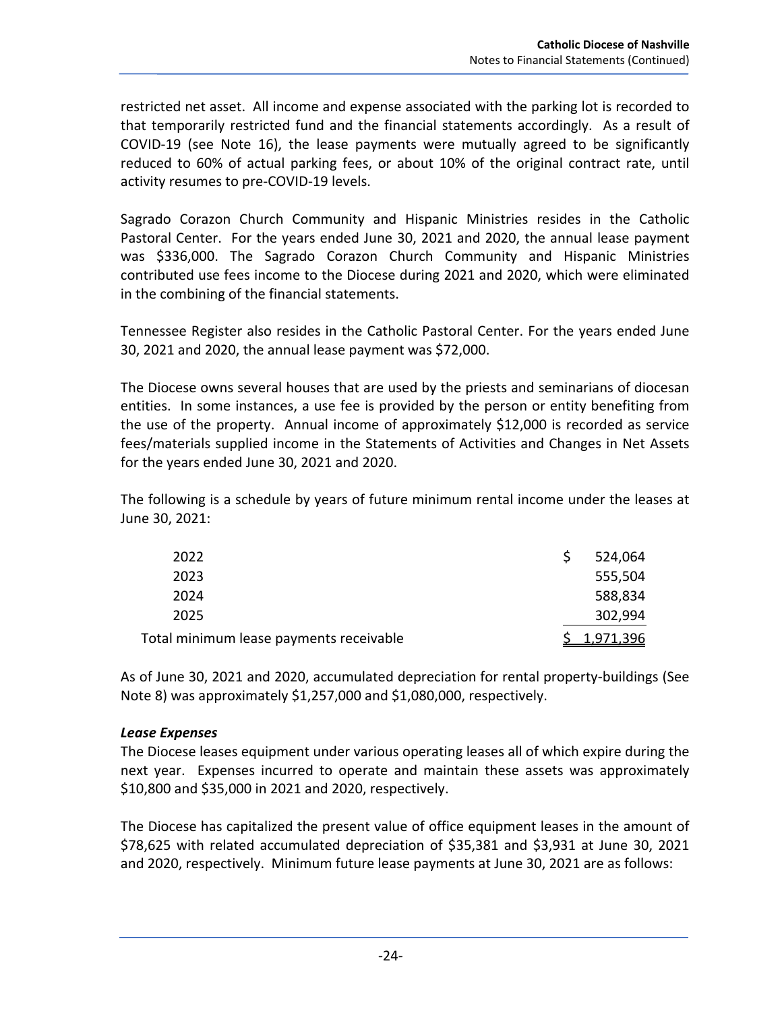restricted net asset. All income and expense associated with the parking lot is recorded to that temporarily restricted fund and the financial statements accordingly. As a result of COVID‐19 (see Note 16), the lease payments were mutually agreed to be significantly reduced to 60% of actual parking fees, or about 10% of the original contract rate, until activity resumes to pre‐COVID‐19 levels.

Sagrado Corazon Church Community and Hispanic Ministries resides in the Catholic Pastoral Center. For the years ended June 30, 2021 and 2020, the annual lease payment was \$336,000. The Sagrado Corazon Church Community and Hispanic Ministries contributed use fees income to the Diocese during 2021 and 2020, which were eliminated in the combining of the financial statements.

Tennessee Register also resides in the Catholic Pastoral Center. For the years ended June 30, 2021 and 2020, the annual lease payment was \$72,000.

The Diocese owns several houses that are used by the priests and seminarians of diocesan entities. In some instances, a use fee is provided by the person or entity benefiting from the use of the property. Annual income of approximately \$12,000 is recorded as service fees/materials supplied income in the Statements of Activities and Changes in Net Assets for the years ended June 30, 2021 and 2020.

The following is a schedule by years of future minimum rental income under the leases at June 30, 2021:

| 2022                                    | 524,064          |
|-----------------------------------------|------------------|
| 2023                                    | 555,504          |
| 2024                                    | 588,834          |
| 2025                                    | 302,994          |
| Total minimum lease payments receivable | <u>1.971.396</u> |

As of June 30, 2021 and 2020, accumulated depreciation for rental property‐buildings (See Note 8) was approximately \$1,257,000 and \$1,080,000, respectively.

## *Lease Expenses*

The Diocese leases equipment under various operating leases all of which expire during the next year. Expenses incurred to operate and maintain these assets was approximately \$10,800 and \$35,000 in 2021 and 2020, respectively.

The Diocese has capitalized the present value of office equipment leases in the amount of \$78,625 with related accumulated depreciation of \$35,381 and \$3,931 at June 30, 2021 and 2020, respectively. Minimum future lease payments at June 30, 2021 are as follows: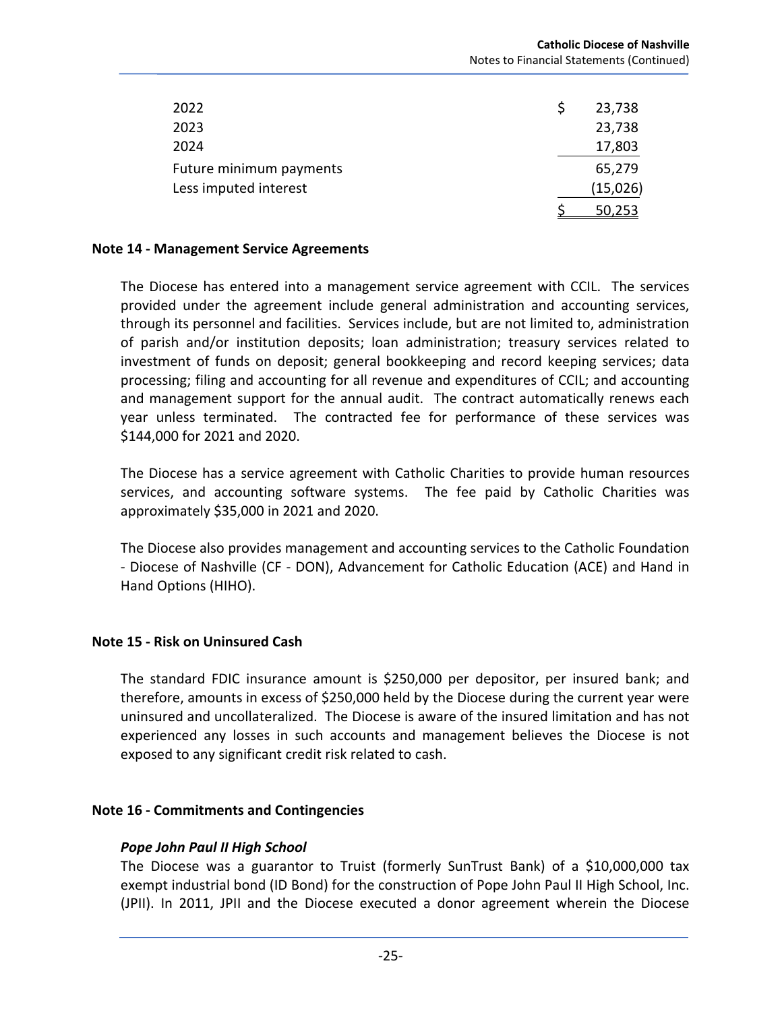| 2022                    | 23,738   |
|-------------------------|----------|
| 2023                    | 23,738   |
| 2024                    | 17,803   |
| Future minimum payments | 65,279   |
| Less imputed interest   | (15,026) |
|                         | 50.253   |
|                         |          |

#### **Note 14 ‐ Management Service Agreements**

The Diocese has entered into a management service agreement with CCIL. The services provided under the agreement include general administration and accounting services, through its personnel and facilities. Services include, but are not limited to, administration of parish and/or institution deposits; loan administration; treasury services related to investment of funds on deposit; general bookkeeping and record keeping services; data processing; filing and accounting for all revenue and expenditures of CCIL; and accounting and management support for the annual audit. The contract automatically renews each year unless terminated. The contracted fee for performance of these services was \$144,000 for 2021 and 2020.

The Diocese has a service agreement with Catholic Charities to provide human resources services, and accounting software systems. The fee paid by Catholic Charities was approximately \$35,000 in 2021 and 2020.

The Diocese also provides management and accounting services to the Catholic Foundation ‐ Diocese of Nashville (CF ‐ DON), Advancement for Catholic Education (ACE) and Hand in Hand Options (HIHO).

#### **Note 15 ‐ Risk on Uninsured Cash**

The standard FDIC insurance amount is \$250,000 per depositor, per insured bank; and therefore, amounts in excess of \$250,000 held by the Diocese during the current year were uninsured and uncollateralized. The Diocese is aware of the insured limitation and has not experienced any losses in such accounts and management believes the Diocese is not exposed to any significant credit risk related to cash.

#### **Note 16 ‐ Commitments and Contingencies**

#### *Pope John Paul II High School*

The Diocese was a guarantor to Truist (formerly SunTrust Bank) of a \$10,000,000 tax exempt industrial bond (ID Bond) for the construction of Pope John Paul II High School, Inc. (JPII). In 2011, JPII and the Diocese executed a donor agreement wherein the Diocese